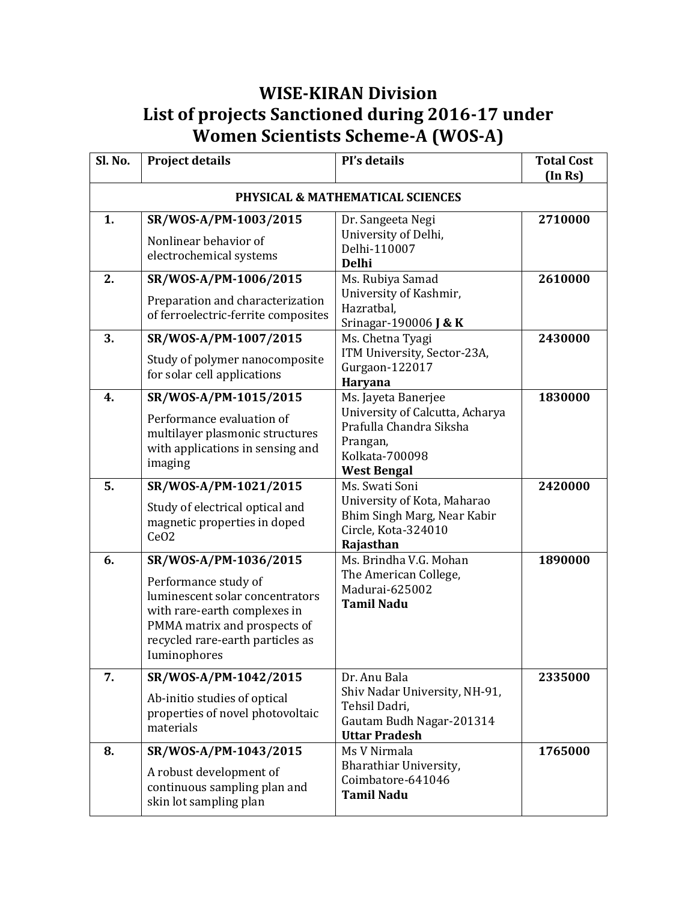## **WISE-KIRAN Division List of projects Sanctioned during 2016-17 under Women Scientists Scheme-A (WOS-A)**

| Sl. No. | <b>Project details</b>                                                                                                                                                                               | Pl's details                                                                                                                          | <b>Total Cost</b><br>(In Rs) |
|---------|------------------------------------------------------------------------------------------------------------------------------------------------------------------------------------------------------|---------------------------------------------------------------------------------------------------------------------------------------|------------------------------|
|         |                                                                                                                                                                                                      | PHYSICAL & MATHEMATICAL SCIENCES                                                                                                      |                              |
| 1.      | SR/WOS-A/PM-1003/2015<br>Nonlinear behavior of<br>electrochemical systems                                                                                                                            | Dr. Sangeeta Negi<br>University of Delhi,<br>Delhi-110007<br><b>Delhi</b>                                                             | 2710000                      |
| 2.      | SR/WOS-A/PM-1006/2015<br>Preparation and characterization<br>of ferroelectric-ferrite composites                                                                                                     | Ms. Rubiya Samad<br>University of Kashmir,<br>Hazratbal,<br>Srinagar-190006 <b>J &amp; K</b>                                          | 2610000                      |
| 3.      | SR/WOS-A/PM-1007/2015<br>Study of polymer nanocomposite<br>for solar cell applications                                                                                                               | Ms. Chetna Tyagi<br>ITM University, Sector-23A,<br>Gurgaon-122017<br>Haryana                                                          | 2430000                      |
| 4.      | SR/WOS-A/PM-1015/2015<br>Performance evaluation of<br>multilayer plasmonic structures<br>with applications in sensing and<br>imaging                                                                 | Ms. Jayeta Banerjee<br>University of Calcutta, Acharya<br>Prafulla Chandra Siksha<br>Prangan,<br>Kolkata-700098<br><b>West Bengal</b> | 1830000                      |
| 5.      | SR/WOS-A/PM-1021/2015<br>Study of electrical optical and<br>magnetic properties in doped<br>CeO <sub>2</sub>                                                                                         | Ms. Swati Soni<br>University of Kota, Maharao<br>Bhim Singh Marg, Near Kabir<br>Circle, Kota-324010<br>Rajasthan                      | 2420000                      |
| 6.      | SR/WOS-A/PM-1036/2015<br>Performance study of<br>luminescent solar concentrators<br>with rare-earth complexes in<br>PMMA matrix and prospects of<br>recycled rare-earth particles as<br>Iuminophores | Ms. Brindha V.G. Mohan<br>The American College,<br>Madurai-625002<br><b>Tamil Nadu</b>                                                | 1890000                      |
| 7.      | SR/WOS-A/PM-1042/2015<br>Ab-initio studies of optical<br>properties of novel photovoltaic<br>materials                                                                                               | Dr. Anu Bala<br>Shiv Nadar University, NH-91,<br>Tehsil Dadri,<br>Gautam Budh Nagar-201314<br><b>Uttar Pradesh</b>                    | 2335000                      |
| 8.      | SR/WOS-A/PM-1043/2015<br>A robust development of<br>continuous sampling plan and<br>skin lot sampling plan                                                                                           | Ms V Nirmala<br>Bharathiar University,<br>Coimbatore-641046<br><b>Tamil Nadu</b>                                                      | 1765000                      |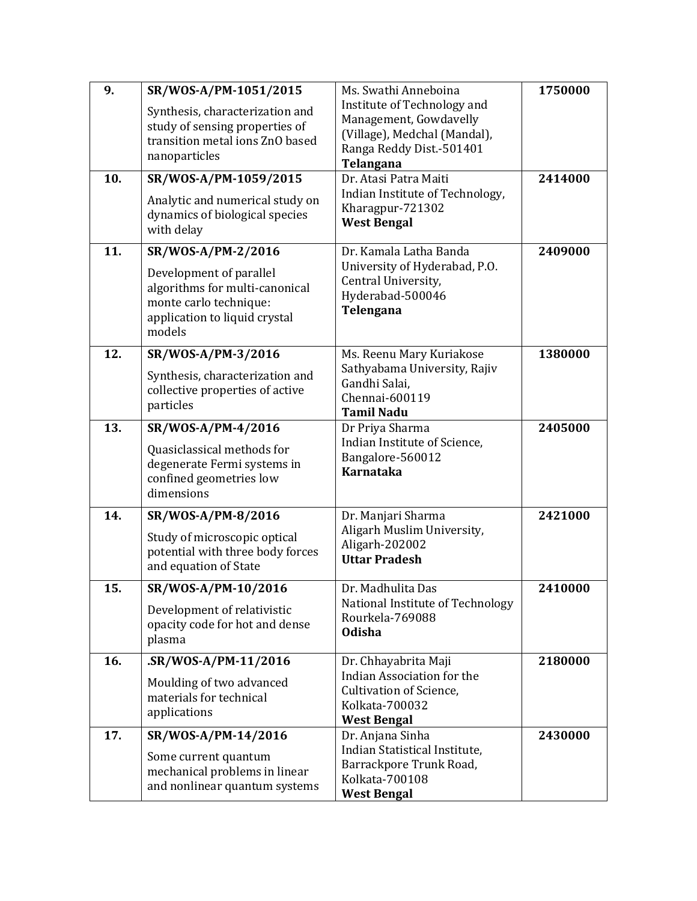| 9.  | SR/WOS-A/PM-1051/2015                                                                                                          | Ms. Swathi Anneboina                                                                                                           | 1750000 |
|-----|--------------------------------------------------------------------------------------------------------------------------------|--------------------------------------------------------------------------------------------------------------------------------|---------|
|     | Synthesis, characterization and<br>study of sensing properties of<br>transition metal ions ZnO based<br>nanoparticles          | Institute of Technology and<br>Management, Gowdavelly<br>(Village), Medchal (Mandal),<br>Ranga Reddy Dist.-501401<br>Telangana |         |
| 10. | SR/WOS-A/PM-1059/2015                                                                                                          | Dr. Atasi Patra Maiti                                                                                                          | 2414000 |
|     | Analytic and numerical study on<br>dynamics of biological species<br>with delay                                                | Indian Institute of Technology,<br>Kharagpur-721302<br><b>West Bengal</b>                                                      |         |
| 11. | SR/WOS-A/PM-2/2016                                                                                                             | Dr. Kamala Latha Banda                                                                                                         | 2409000 |
|     | Development of parallel<br>algorithms for multi-canonical<br>monte carlo technique:<br>application to liquid crystal<br>models | University of Hyderabad, P.O.<br>Central University,<br>Hyderabad-500046<br>Telengana                                          |         |
| 12. | SR/WOS-A/PM-3/2016                                                                                                             | Ms. Reenu Mary Kuriakose                                                                                                       | 1380000 |
|     | Synthesis, characterization and<br>collective properties of active<br>particles                                                | Sathyabama University, Rajiv<br>Gandhi Salai,<br>Chennai-600119<br><b>Tamil Nadu</b>                                           |         |
| 13. | SR/WOS-A/PM-4/2016                                                                                                             | Dr Priya Sharma                                                                                                                | 2405000 |
|     | Quasiclassical methods for<br>degenerate Fermi systems in<br>confined geometries low<br>dimensions                             | Indian Institute of Science,<br>Bangalore-560012<br><b>Karnataka</b>                                                           |         |
| 14. | SR/WOS-A/PM-8/2016                                                                                                             | Dr. Manjari Sharma                                                                                                             | 2421000 |
|     | Study of microscopic optical<br>potential with three body forces<br>and equation of State                                      | Aligarh Muslim University,<br>Aligarh-202002<br><b>Uttar Pradesh</b>                                                           |         |
| 15. | SR/WOS-A/PM-10/2016                                                                                                            | Dr. Madhulita Das                                                                                                              | 2410000 |
|     | Development of relativistic<br>opacity code for hot and dense<br>plasma                                                        | National Institute of Technology<br>Rourkela-769088<br><b>Odisha</b>                                                           |         |
| 16. | .SR/WOS-A/PM-11/2016                                                                                                           | Dr. Chhayabrita Maji                                                                                                           | 2180000 |
|     | Moulding of two advanced<br>materials for technical<br>applications                                                            | Indian Association for the<br>Cultivation of Science,<br>Kolkata-700032<br><b>West Bengal</b>                                  |         |
| 17. | SR/WOS-A/PM-14/2016                                                                                                            | Dr. Anjana Sinha                                                                                                               | 2430000 |
|     | Some current quantum<br>mechanical problems in linear<br>and nonlinear quantum systems                                         | Indian Statistical Institute,<br>Barrackpore Trunk Road,<br>Kolkata-700108<br><b>West Bengal</b>                               |         |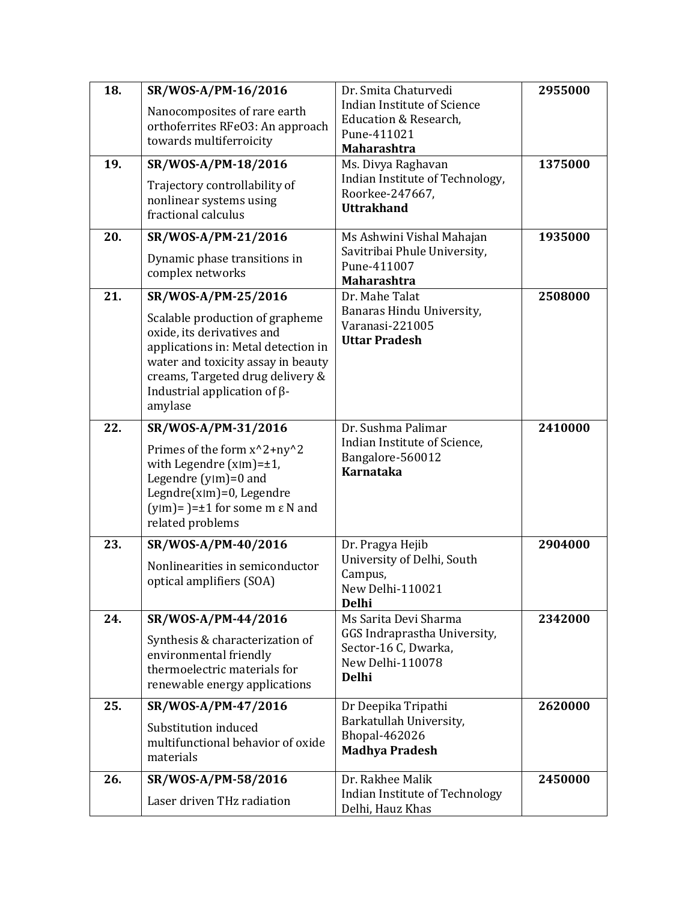| 18. | SR/WOS-A/PM-16/2016                                          | Dr. Smita Chaturvedi                               | 2955000 |
|-----|--------------------------------------------------------------|----------------------------------------------------|---------|
|     | Nanocomposites of rare earth                                 | <b>Indian Institute of Science</b>                 |         |
|     | orthoferrites RFeO3: An approach                             | Education & Research,<br>Pune-411021               |         |
|     | towards multiferroicity                                      | <b>Maharashtra</b>                                 |         |
| 19. | SR/WOS-A/PM-18/2016                                          | Ms. Divya Raghavan                                 | 1375000 |
|     | Trajectory controllability of                                | Indian Institute of Technology,                    |         |
|     | nonlinear systems using                                      | Roorkee-247667,<br><b>Uttrakhand</b>               |         |
|     | fractional calculus                                          |                                                    |         |
| 20. | SR/WOS-A/PM-21/2016                                          | Ms Ashwini Vishal Mahajan                          | 1935000 |
|     | Dynamic phase transitions in                                 | Savitribai Phule University,                       |         |
|     | complex networks                                             | Pune-411007<br><b>Maharashtra</b>                  |         |
| 21. | SR/WOS-A/PM-25/2016                                          | Dr. Mahe Talat                                     | 2508000 |
|     | Scalable production of grapheme                              | Banaras Hindu University,                          |         |
|     | oxide, its derivatives and                                   | Varanasi-221005                                    |         |
|     | applications in: Metal detection in                          | <b>Uttar Pradesh</b>                               |         |
|     | water and toxicity assay in beauty                           |                                                    |         |
|     | creams, Targeted drug delivery &                             |                                                    |         |
|     | Industrial application of $\beta$ -<br>amylase               |                                                    |         |
| 22. |                                                              | Dr. Sushma Palimar                                 |         |
|     | SR/WOS-A/PM-31/2016                                          | Indian Institute of Science,                       | 2410000 |
|     | Primes of the form x^2+ny^2<br>with Legendre $(x m)=\pm 1$ , | Bangalore-560012                                   |         |
|     | Legendre $(y m)=0$ and                                       | <b>Karnataka</b>                                   |         |
|     | Legndre $(x m)=0$ , Legendre                                 |                                                    |         |
|     | $(y m)$ = $)=\pm 1$ for some m $\varepsilon$ N and           |                                                    |         |
|     | related problems                                             |                                                    |         |
| 23. | SR/WOS-A/PM-40/2016                                          | Dr. Pragya Hejib                                   | 2904000 |
|     | Nonlinearities in semiconductor                              | University of Delhi, South<br>Campus,              |         |
|     | optical amplifiers (SOA)                                     | New Delhi-110021                                   |         |
|     |                                                              | <b>Delhi</b>                                       |         |
| 24. | SR/WOS-A/PM-44/2016                                          | Ms Sarita Devi Sharma                              | 2342000 |
|     | Synthesis & characterization of                              | GGS Indraprastha University,                       |         |
|     | environmental friendly                                       | Sector-16 C, Dwarka,<br>New Delhi-110078           |         |
|     | thermoelectric materials for                                 | <b>Delhi</b>                                       |         |
|     | renewable energy applications                                |                                                    |         |
| 25. | SR/WOS-A/PM-47/2016                                          | Dr Deepika Tripathi                                | 2620000 |
|     | Substitution induced                                         | Barkatullah University,<br><b>Bhopal-462026</b>    |         |
|     | multifunctional behavior of oxide                            | <b>Madhya Pradesh</b>                              |         |
|     | materials                                                    |                                                    |         |
| 26. | SR/WOS-A/PM-58/2016                                          | Dr. Rakhee Malik                                   | 2450000 |
|     | Laser driven THz radiation                                   | Indian Institute of Technology<br>Delhi, Hauz Khas |         |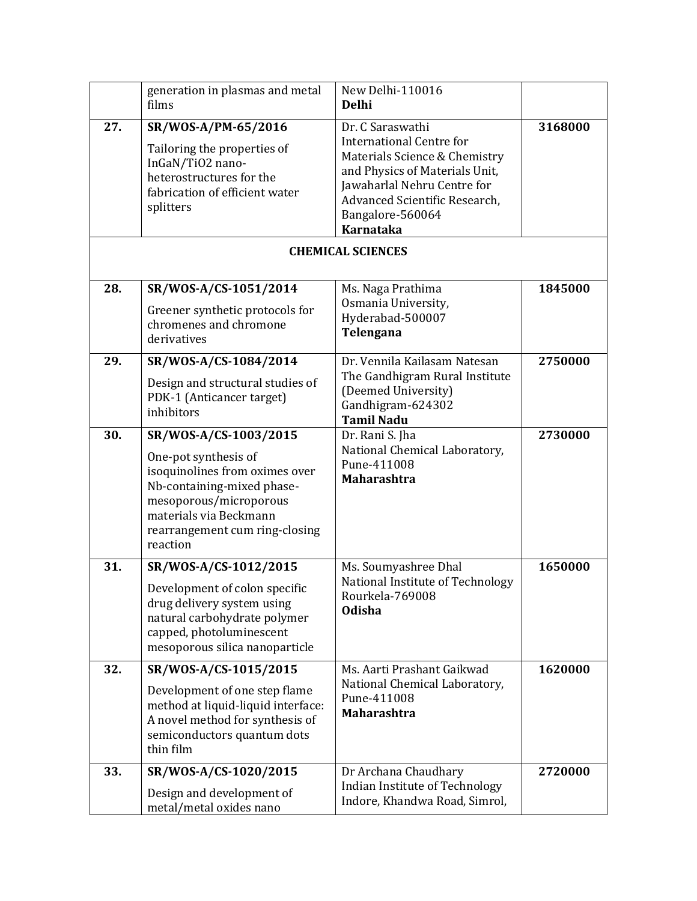|     | generation in plasmas and metal<br>films                                                                                                                                                                        | New Delhi-110016<br><b>Delhi</b>                                                                                                                                                                                               |         |
|-----|-----------------------------------------------------------------------------------------------------------------------------------------------------------------------------------------------------------------|--------------------------------------------------------------------------------------------------------------------------------------------------------------------------------------------------------------------------------|---------|
| 27. | SR/WOS-A/PM-65/2016<br>Tailoring the properties of<br>InGaN/TiO2 nano-<br>heterostructures for the<br>fabrication of efficient water<br>splitters                                                               | Dr. C Saraswathi<br><b>International Centre for</b><br>Materials Science & Chemistry<br>and Physics of Materials Unit,<br>Jawaharlal Nehru Centre for<br>Advanced Scientific Research,<br>Bangalore-560064<br><b>Karnataka</b> | 3168000 |
|     |                                                                                                                                                                                                                 | <b>CHEMICAL SCIENCES</b>                                                                                                                                                                                                       |         |
| 28. | SR/WOS-A/CS-1051/2014<br>Greener synthetic protocols for<br>chromenes and chromone<br>derivatives                                                                                                               | Ms. Naga Prathima<br>Osmania University,<br>Hyderabad-500007<br>Telengana                                                                                                                                                      | 1845000 |
| 29. | SR/WOS-A/CS-1084/2014<br>Design and structural studies of<br>PDK-1 (Anticancer target)<br>inhibitors                                                                                                            | Dr. Vennila Kailasam Natesan<br>The Gandhigram Rural Institute<br>(Deemed University)<br>Gandhigram-624302<br><b>Tamil Nadu</b>                                                                                                | 2750000 |
| 30. | SR/WOS-A/CS-1003/2015<br>One-pot synthesis of<br>isoquinolines from oximes over<br>Nb-containing-mixed phase-<br>mesoporous/microporous<br>materials via Beckmann<br>rearrangement cum ring-closing<br>reaction | Dr. Rani S. Jha<br>National Chemical Laboratory,<br>Pune-411008<br><b>Maharashtra</b>                                                                                                                                          | 2730000 |
| 31. | SR/WOS-A/CS-1012/2015<br>Development of colon specific<br>drug delivery system using<br>natural carbohydrate polymer<br>capped, photoluminescent<br>mesoporous silica nanoparticle                              | Ms. Soumyashree Dhal<br>National Institute of Technology<br>Rourkela-769008<br><b>Odisha</b>                                                                                                                                   | 1650000 |
| 32. | SR/WOS-A/CS-1015/2015<br>Development of one step flame<br>method at liquid-liquid interface:<br>A novel method for synthesis of<br>semiconductors quantum dots<br>thin film                                     | Ms. Aarti Prashant Gaikwad<br>National Chemical Laboratory,<br>Pune-411008<br>Maharashtra                                                                                                                                      | 1620000 |
| 33. | SR/WOS-A/CS-1020/2015<br>Design and development of<br>metal/metal oxides nano                                                                                                                                   | Dr Archana Chaudhary<br>Indian Institute of Technology<br>Indore, Khandwa Road, Simrol,                                                                                                                                        | 2720000 |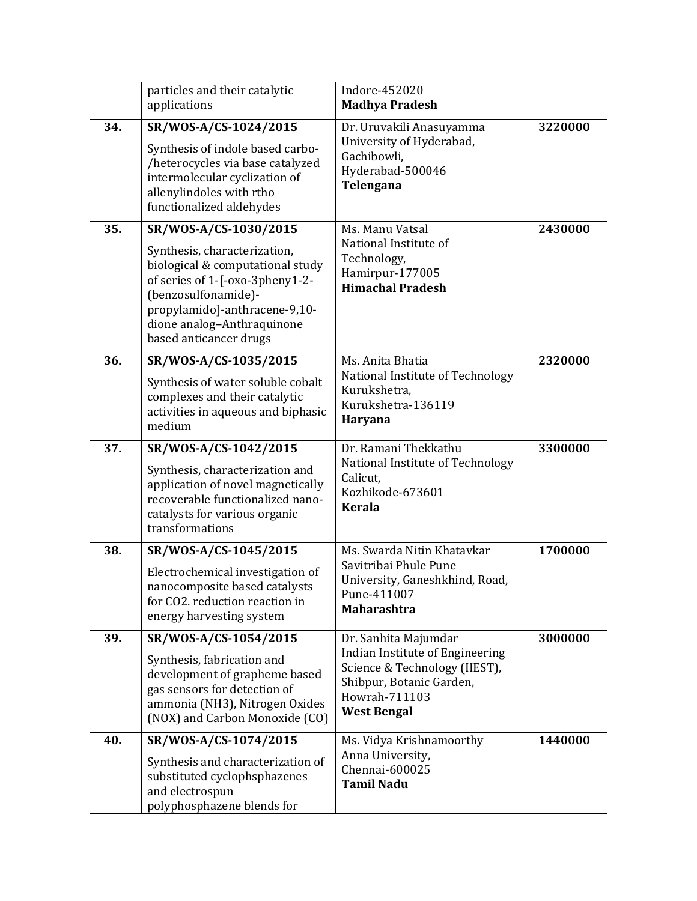|     | particles and their catalytic<br>applications                                                                                                                                                                                                | Indore-452020<br><b>Madhya Pradesh</b>                                                                                                                      |         |
|-----|----------------------------------------------------------------------------------------------------------------------------------------------------------------------------------------------------------------------------------------------|-------------------------------------------------------------------------------------------------------------------------------------------------------------|---------|
| 34. | SR/WOS-A/CS-1024/2015<br>Synthesis of indole based carbo-<br>/heterocycles via base catalyzed<br>intermolecular cyclization of<br>allenylindoles with rtho<br>functionalized aldehydes                                                       | Dr. Uruvakili Anasuyamma<br>University of Hyderabad,<br>Gachibowli,<br>Hyderabad-500046<br>Telengana                                                        | 3220000 |
| 35. | SR/WOS-A/CS-1030/2015<br>Synthesis, characterization,<br>biological & computational study<br>of series of 1-[-oxo-3pheny1-2-<br>(benzosulfonamide)-<br>propylamido]-anthracene-9,10-<br>dione analog-Anthraquinone<br>based anticancer drugs | Ms. Manu Vatsal<br>National Institute of<br>Technology,<br>Hamirpur-177005<br><b>Himachal Pradesh</b>                                                       | 2430000 |
| 36. | SR/WOS-A/CS-1035/2015<br>Synthesis of water soluble cobalt<br>complexes and their catalytic<br>activities in aqueous and biphasic<br>medium                                                                                                  | Ms. Anita Bhatia<br>National Institute of Technology<br>Kurukshetra,<br>Kurukshetra-136119<br>Haryana                                                       | 2320000 |
| 37. | SR/WOS-A/CS-1042/2015<br>Synthesis, characterization and<br>application of novel magnetically<br>recoverable functionalized nano-<br>catalysts for various organic<br>transformations                                                        | Dr. Ramani Thekkathu<br>National Institute of Technology<br>Calicut,<br>Kozhikode-673601<br><b>Kerala</b>                                                   | 3300000 |
| 38. | SR/WOS-A/CS-1045/2015<br>Electrochemical investigation of<br>nanocomposite based catalysts<br>for CO2. reduction reaction in<br>energy harvesting system                                                                                     | Ms. Swarda Nitin Khatavkar<br>Savitribai Phule Pune<br>University, Ganeshkhind, Road,<br>Pune-411007<br><b>Maharashtra</b>                                  | 1700000 |
| 39. | SR/WOS-A/CS-1054/2015<br>Synthesis, fabrication and<br>development of grapheme based<br>gas sensors for detection of<br>ammonia (NH3), Nitrogen Oxides<br>(NOX) and Carbon Monoxide (CO)                                                     | Dr. Sanhita Majumdar<br>Indian Institute of Engineering<br>Science & Technology (IIEST),<br>Shibpur, Botanic Garden,<br>Howrah-711103<br><b>West Bengal</b> | 3000000 |
| 40. | SR/WOS-A/CS-1074/2015<br>Synthesis and characterization of<br>substituted cyclophsphazenes<br>and electrospun<br>polyphosphazene blends for                                                                                                  | Ms. Vidya Krishnamoorthy<br>Anna University,<br>Chennai-600025<br><b>Tamil Nadu</b>                                                                         | 1440000 |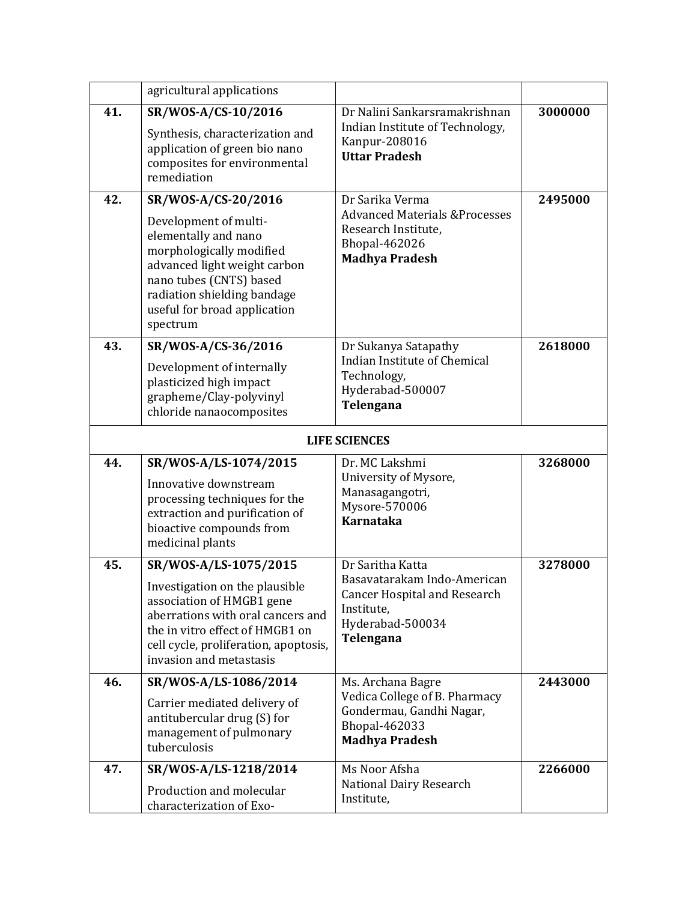|     | agricultural applications                                                                                                                                                                                                              |                                                                                                                                       |         |
|-----|----------------------------------------------------------------------------------------------------------------------------------------------------------------------------------------------------------------------------------------|---------------------------------------------------------------------------------------------------------------------------------------|---------|
| 41. | SR/WOS-A/CS-10/2016<br>Synthesis, characterization and<br>application of green bio nano<br>composites for environmental<br>remediation                                                                                                 | Dr Nalini Sankarsramakrishnan<br>Indian Institute of Technology,<br>Kanpur-208016<br><b>Uttar Pradesh</b>                             | 3000000 |
| 42. | SR/WOS-A/CS-20/2016<br>Development of multi-<br>elementally and nano<br>morphologically modified<br>advanced light weight carbon<br>nano tubes (CNTS) based<br>radiation shielding bandage<br>useful for broad application<br>spectrum | Dr Sarika Verma<br><b>Advanced Materials &amp;Processes</b><br>Research Institute,<br><b>Bhopal-462026</b><br><b>Madhya Pradesh</b>   | 2495000 |
| 43. | SR/WOS-A/CS-36/2016<br>Development of internally<br>plasticized high impact<br>grapheme/Clay-polyvinyl<br>chloride nanaocomposites                                                                                                     | Dr Sukanya Satapathy<br>Indian Institute of Chemical<br>Technology,<br>Hyderabad-500007<br>Telengana                                  | 2618000 |
|     |                                                                                                                                                                                                                                        | <b>LIFE SCIENCES</b>                                                                                                                  |         |
| 44. | SR/WOS-A/LS-1074/2015<br>Innovative downstream<br>processing techniques for the<br>extraction and purification of<br>bioactive compounds from<br>medicinal plants                                                                      | Dr. MC Lakshmi<br>University of Mysore,<br>Manasagangotri,<br>Mysore-570006<br><b>Karnataka</b>                                       | 3268000 |
| 45. | SR/WOS-A/LS-1075/2015<br>Investigation on the plausible<br>association of HMGB1 gene<br>aberrations with oral cancers and<br>the in vitro effect of HMGB1 on<br>cell cycle, proliferation, apoptosis,<br>invasion and metastasis       | Dr Saritha Katta<br>Basavatarakam Indo-American<br><b>Cancer Hospital and Research</b><br>Institute,<br>Hyderabad-500034<br>Telengana | 3278000 |
| 46. | SR/WOS-A/LS-1086/2014<br>Carrier mediated delivery of<br>antitubercular drug (S) for<br>management of pulmonary<br>tuberculosis                                                                                                        | Ms. Archana Bagre<br>Vedica College of B. Pharmacy<br>Gondermau, Gandhi Nagar,<br>Bhopal-462033<br><b>Madhya Pradesh</b>              | 2443000 |
| 47. | SR/WOS-A/LS-1218/2014<br>Production and molecular<br>characterization of Exo-                                                                                                                                                          | Ms Noor Afsha<br>National Dairy Research<br>Institute,                                                                                | 2266000 |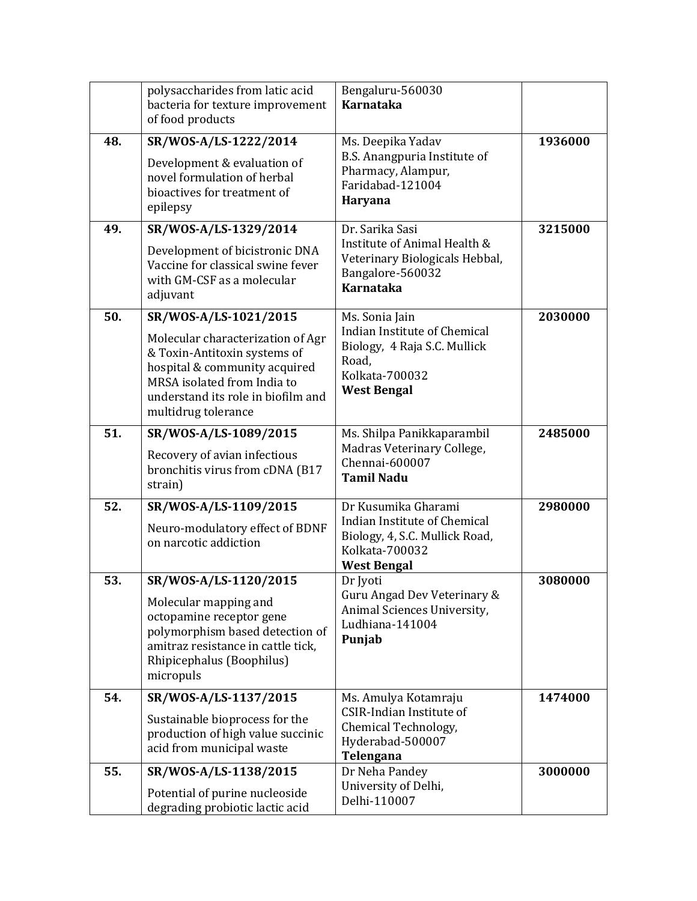|     | polysaccharides from latic acid<br>bacteria for texture improvement<br>of food products                                                                                                                                 | Bengaluru-560030<br><b>Karnataka</b>                                                                                            |         |
|-----|-------------------------------------------------------------------------------------------------------------------------------------------------------------------------------------------------------------------------|---------------------------------------------------------------------------------------------------------------------------------|---------|
| 48. | SR/WOS-A/LS-1222/2014<br>Development & evaluation of<br>novel formulation of herbal<br>bioactives for treatment of<br>epilepsy                                                                                          | Ms. Deepika Yadav<br>B.S. Anangpuria Institute of<br>Pharmacy, Alampur,<br>Faridabad-121004<br>Haryana                          | 1936000 |
| 49. | SR/WOS-A/LS-1329/2014<br>Development of bicistronic DNA<br>Vaccine for classical swine fever<br>with GM-CSF as a molecular<br>adjuvant                                                                                  | Dr. Sarika Sasi<br>Institute of Animal Health &<br>Veterinary Biologicals Hebbal,<br>Bangalore-560032<br><b>Karnataka</b>       | 3215000 |
| 50. | SR/WOS-A/LS-1021/2015<br>Molecular characterization of Agr<br>& Toxin-Antitoxin systems of<br>hospital & community acquired<br>MRSA isolated from India to<br>understand its role in biofilm and<br>multidrug tolerance | Ms. Sonia Jain<br>Indian Institute of Chemical<br>Biology, 4 Raja S.C. Mullick<br>Road,<br>Kolkata-700032<br><b>West Bengal</b> | 2030000 |
| 51. | SR/WOS-A/LS-1089/2015<br>Recovery of avian infectious<br>bronchitis virus from cDNA (B17<br>strain)                                                                                                                     | Ms. Shilpa Panikkaparambil<br>Madras Veterinary College,<br>Chennai-600007<br><b>Tamil Nadu</b>                                 | 2485000 |
| 52. | SR/WOS-A/LS-1109/2015<br>Neuro-modulatory effect of BDNF<br>on narcotic addiction                                                                                                                                       | Dr Kusumika Gharami<br>Indian Institute of Chemical<br>Biology, 4, S.C. Mullick Road,<br>Kolkata-700032<br><b>West Bengal</b>   | 2980000 |
| 53. | SR/WOS-A/LS-1120/2015<br>Molecular mapping and<br>octopamine receptor gene<br>polymorphism based detection of<br>amitraz resistance in cattle tick,<br>Rhipicephalus (Boophilus)<br>micropuls                           | Dr Jyoti<br>Guru Angad Dev Veterinary &<br>Animal Sciences University,<br>Ludhiana-141004<br>Punjab                             | 3080000 |
| 54. | SR/WOS-A/LS-1137/2015<br>Sustainable bioprocess for the<br>production of high value succinic<br>acid from municipal waste                                                                                               | Ms. Amulya Kotamraju<br><b>CSIR-Indian Institute of</b><br>Chemical Technology,<br>Hyderabad-500007<br>Telengana                | 1474000 |
| 55. | SR/WOS-A/LS-1138/2015<br>Potential of purine nucleoside<br>degrading probiotic lactic acid                                                                                                                              | Dr Neha Pandey<br>University of Delhi,<br>Delhi-110007                                                                          | 3000000 |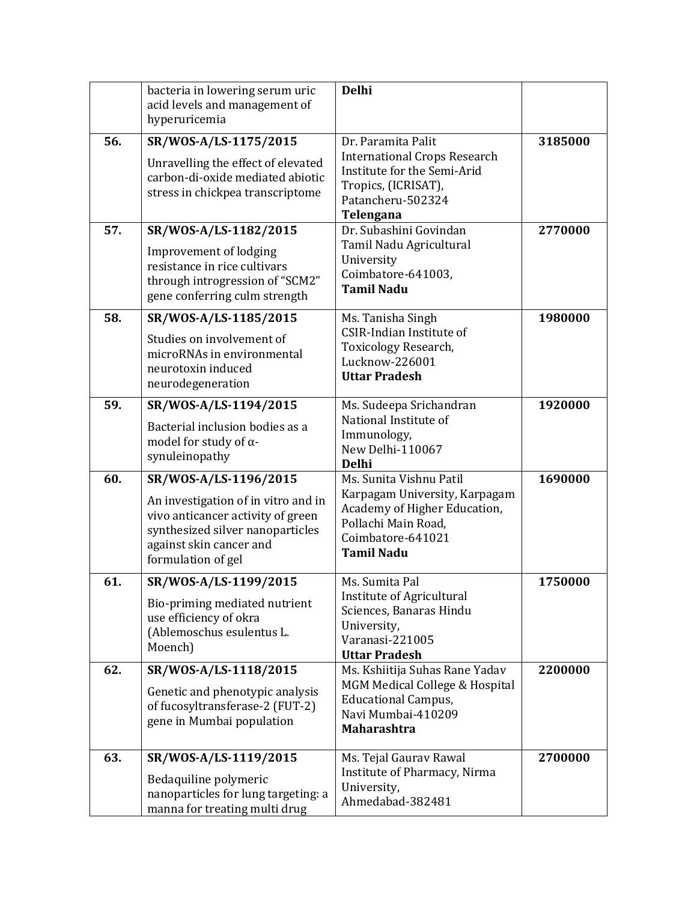|     | bacteria in lowering serum uric<br>acid levels and management of<br>hyperuricemia                                                                                                      | <b>Delhi</b>                                                                                                                                              |         |
|-----|----------------------------------------------------------------------------------------------------------------------------------------------------------------------------------------|-----------------------------------------------------------------------------------------------------------------------------------------------------------|---------|
| 56. | SR/WOS-A/LS-1175/2015<br>Unravelling the effect of elevated<br>carbon-di-oxide mediated abiotic<br>stress in chickpea transcriptome                                                    | Dr. Paramita Palit<br><b>International Crops Research</b><br>Institute for the Semi-Arid<br>Tropics, (ICRISAT),<br>Patancheru-502324<br>Telengana         | 3185000 |
| 57. | SR/WOS-A/LS-1182/2015<br>Improvement of lodging<br>resistance in rice cultivars<br>through introgression of "SCM2"<br>gene conferring culm strength                                    | Dr. Subashini Govindan<br>Tamil Nadu Agricultural<br>University<br>Coimbatore-641003,<br><b>Tamil Nadu</b>                                                | 2770000 |
| 58. | SR/WOS-A/LS-1185/2015<br>Studies on involvement of<br>microRNAs in environmental<br>neurotoxin induced<br>neurodegeneration                                                            | Ms. Tanisha Singh<br><b>CSIR-Indian Institute of</b><br>Toxicology Research,<br>Lucknow-226001<br><b>Uttar Pradesh</b>                                    | 1980000 |
| 59. | SR/WOS-A/LS-1194/2015<br>Bacterial inclusion bodies as a<br>model for study of $\alpha$ -<br>synuleinopathy                                                                            | Ms. Sudeepa Srichandran<br>National Institute of<br>Immunology,<br>New Delhi-110067<br><b>Delhi</b>                                                       | 1920000 |
| 60. | SR/WOS-A/LS-1196/2015<br>An investigation of in vitro and in<br>vivo anticancer activity of green<br>synthesized silver nanoparticles<br>against skin cancer and<br>formulation of gel | Ms. Sunita Vishnu Patil<br>Karpagam University, Karpagam<br>Academy of Higher Education,<br>Pollachi Main Road,<br>Coimbatore-641021<br><b>Tamil Nadu</b> | 1690000 |
| 61. | SR/WOS-A/LS-1199/2015<br>Bio-priming mediated nutrient<br>use efficiency of okra<br>(Ablemoschus esulentus L.<br>Moench)                                                               | Ms. Sumita Pal<br><b>Institute of Agricultural</b><br>Sciences, Banaras Hindu<br>University,<br>Varanasi-221005<br><b>Uttar Pradesh</b>                   | 1750000 |
| 62. | SR/WOS-A/LS-1118/2015<br>Genetic and phenotypic analysis<br>of fucosyltransferase-2 (FUT-2)<br>gene in Mumbai population                                                               | Ms. Kshiitija Suhas Rane Yadav<br>MGM Medical College & Hospital<br><b>Educational Campus,</b><br>Navi Mumbai-410209<br><b>Maharashtra</b>                | 2200000 |
| 63. | SR/WOS-A/LS-1119/2015<br>Bedaquiline polymeric<br>nanoparticles for lung targeting: a<br>manna for treating multi drug                                                                 | Ms. Tejal Gaurav Rawal<br>Institute of Pharmacy, Nirma<br>University,<br>Ahmedabad-382481                                                                 | 2700000 |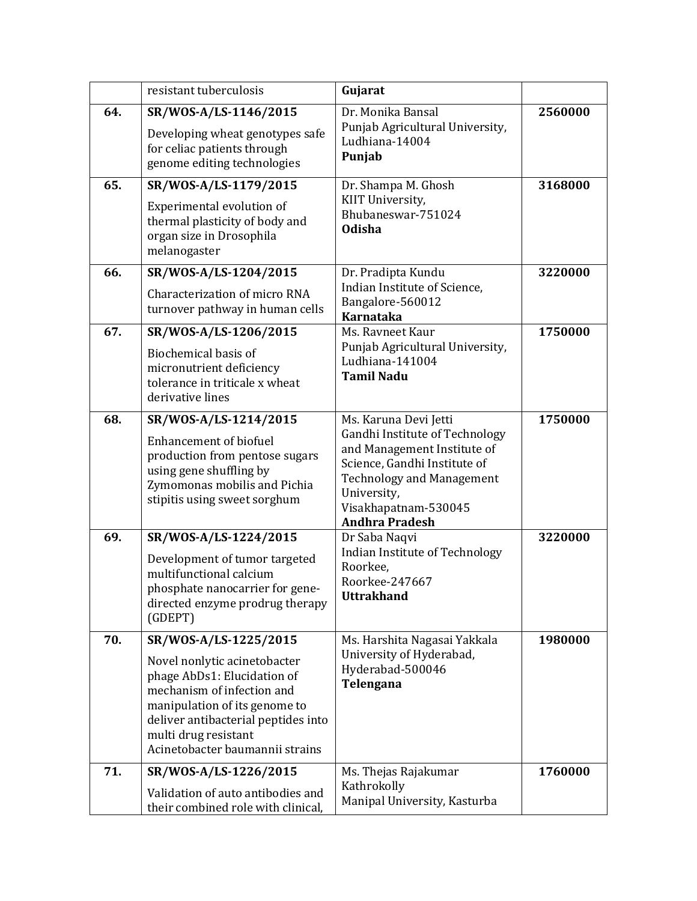|     | resistant tuberculosis                                                                                                                                                                                                                                | Gujarat                                                                                                                                                                                                                    |         |
|-----|-------------------------------------------------------------------------------------------------------------------------------------------------------------------------------------------------------------------------------------------------------|----------------------------------------------------------------------------------------------------------------------------------------------------------------------------------------------------------------------------|---------|
| 64. | SR/WOS-A/LS-1146/2015<br>Developing wheat genotypes safe<br>for celiac patients through<br>genome editing technologies                                                                                                                                | Dr. Monika Bansal<br>Punjab Agricultural University,<br>Ludhiana-14004<br>Punjab                                                                                                                                           | 2560000 |
| 65. | SR/WOS-A/LS-1179/2015<br>Experimental evolution of<br>thermal plasticity of body and<br>organ size in Drosophila<br>melanogaster                                                                                                                      | Dr. Shampa M. Ghosh<br>KIIT University,<br>Bhubaneswar-751024<br><b>Odisha</b>                                                                                                                                             | 3168000 |
| 66. | SR/WOS-A/LS-1204/2015<br>Characterization of micro RNA<br>turnover pathway in human cells                                                                                                                                                             | Dr. Pradipta Kundu<br>Indian Institute of Science,<br>Bangalore-560012<br><b>Karnataka</b>                                                                                                                                 | 3220000 |
| 67. | SR/WOS-A/LS-1206/2015<br>Biochemical basis of<br>micronutrient deficiency<br>tolerance in triticale x wheat<br>derivative lines                                                                                                                       | Ms. Ravneet Kaur<br>Punjab Agricultural University,<br>Ludhiana-141004<br><b>Tamil Nadu</b>                                                                                                                                | 1750000 |
| 68. | SR/WOS-A/LS-1214/2015<br><b>Enhancement of biofuel</b><br>production from pentose sugars<br>using gene shuffling by<br>Zymomonas mobilis and Pichia<br>stipitis using sweet sorghum                                                                   | Ms. Karuna Devi Jetti<br>Gandhi Institute of Technology<br>and Management Institute of<br>Science, Gandhi Institute of<br><b>Technology and Management</b><br>University,<br>Visakhapatnam-530045<br><b>Andhra Pradesh</b> | 1750000 |
| 69. | SR/WOS-A/LS-1224/2015<br>Development of tumor targeted<br>multifunctional calcium<br>phosphate nanocarrier for gene-<br>directed enzyme prodrug therapy<br>(GDEPT)                                                                                    | Dr Saba Naqvi<br>Indian Institute of Technology<br>Roorkee.<br>Roorkee-247667<br><b>Uttrakhand</b>                                                                                                                         | 3220000 |
| 70. | SR/WOS-A/LS-1225/2015<br>Novel nonlytic acinetobacter<br>phage AbDs1: Elucidation of<br>mechanism of infection and<br>manipulation of its genome to<br>deliver antibacterial peptides into<br>multi drug resistant<br>Acinetobacter baumannii strains | Ms. Harshita Nagasai Yakkala<br>University of Hyderabad,<br>Hyderabad-500046<br>Telengana                                                                                                                                  | 1980000 |
| 71. | SR/WOS-A/LS-1226/2015<br>Validation of auto antibodies and<br>their combined role with clinical,                                                                                                                                                      | Ms. Thejas Rajakumar<br>Kathrokolly<br>Manipal University, Kasturba                                                                                                                                                        | 1760000 |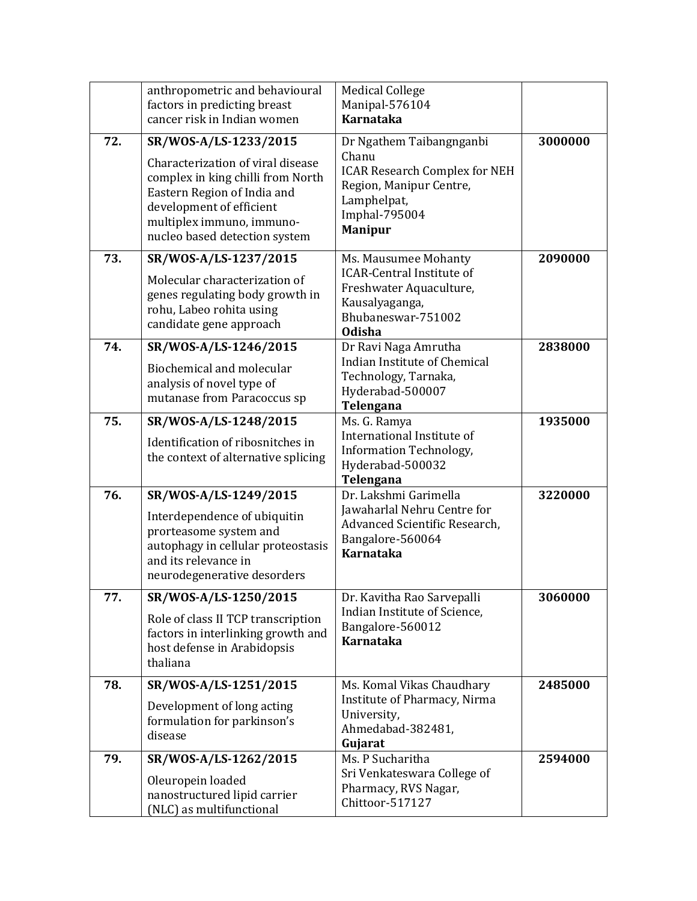|     | anthropometric and behavioural<br>factors in predicting breast<br>cancer risk in Indian women                                                                                                                            | <b>Medical College</b><br>Manipal-576104<br><b>Karnataka</b>                                                                                           |         |
|-----|--------------------------------------------------------------------------------------------------------------------------------------------------------------------------------------------------------------------------|--------------------------------------------------------------------------------------------------------------------------------------------------------|---------|
| 72. | SR/WOS-A/LS-1233/2015<br>Characterization of viral disease<br>complex in king chilli from North<br>Eastern Region of India and<br>development of efficient<br>multiplex immuno, immuno-<br>nucleo based detection system | Dr Ngathem Taibangnganbi<br>Chanu<br><b>ICAR Research Complex for NEH</b><br>Region, Manipur Centre,<br>Lamphelpat,<br>Imphal-795004<br><b>Manipur</b> | 3000000 |
| 73. | SR/WOS-A/LS-1237/2015<br>Molecular characterization of<br>genes regulating body growth in<br>rohu, Labeo rohita using<br>candidate gene approach                                                                         | Ms. Mausumee Mohanty<br><b>ICAR-Central Institute of</b><br>Freshwater Aquaculture,<br>Kausalyaganga,<br>Bhubaneswar-751002<br><b>Odisha</b>           | 2090000 |
| 74. | SR/WOS-A/LS-1246/2015<br>Biochemical and molecular<br>analysis of novel type of<br>mutanase from Paracoccus sp                                                                                                           | Dr Ravi Naga Amrutha<br>Indian Institute of Chemical<br>Technology, Tarnaka,<br>Hyderabad-500007<br>Telengana                                          | 2838000 |
| 75. | SR/WOS-A/LS-1248/2015<br>Identification of ribosnitches in<br>the context of alternative splicing                                                                                                                        | Ms. G. Ramya<br>International Institute of<br>Information Technology,<br>Hyderabad-500032<br>Telengana                                                 | 1935000 |
| 76. | SR/WOS-A/LS-1249/2015<br>Interdependence of ubiquitin<br>prorteasome system and<br>autophagy in cellular proteostasis<br>and its relevance in<br>neurodegenerative desorders                                             | Dr. Lakshmi Garimella<br>Jawaharlal Nehru Centre for<br>Advanced Scientific Research,<br>Bangalore-560064<br><b>Karnataka</b>                          | 3220000 |
| 77. | SR/WOS-A/LS-1250/2015<br>Role of class II TCP transcription<br>factors in interlinking growth and<br>host defense in Arabidopsis<br>thaliana                                                                             | Dr. Kavitha Rao Sarvepalli<br>Indian Institute of Science,<br>Bangalore-560012<br><b>Karnataka</b>                                                     | 3060000 |
| 78. | SR/WOS-A/LS-1251/2015<br>Development of long acting<br>formulation for parkinson's<br>disease                                                                                                                            | Ms. Komal Vikas Chaudhary<br>Institute of Pharmacy, Nirma<br>University,<br>Ahmedabad-382481,<br>Gujarat                                               | 2485000 |
| 79. | SR/WOS-A/LS-1262/2015<br>Oleuropein loaded<br>nanostructured lipid carrier<br>(NLC) as multifunctional                                                                                                                   | Ms. P Sucharitha<br>Sri Venkateswara College of<br>Pharmacy, RVS Nagar,<br>Chittoor-517127                                                             | 2594000 |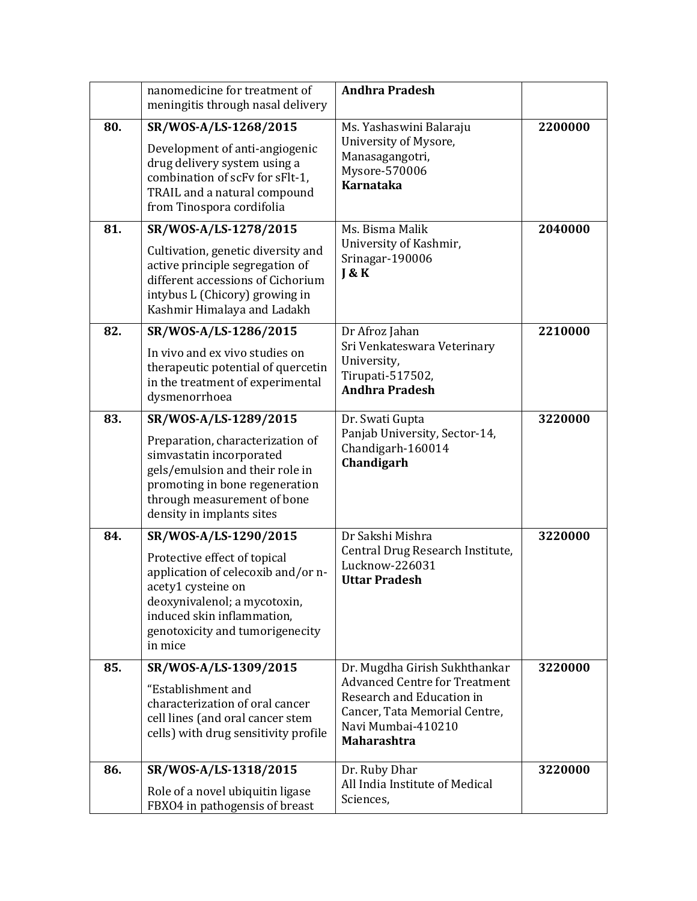|     | nanomedicine for treatment of<br>meningitis through nasal delivery                                                                                                                                                            | <b>Andhra Pradesh</b>                                                                                                                                                           |         |
|-----|-------------------------------------------------------------------------------------------------------------------------------------------------------------------------------------------------------------------------------|---------------------------------------------------------------------------------------------------------------------------------------------------------------------------------|---------|
| 80. | SR/WOS-A/LS-1268/2015<br>Development of anti-angiogenic<br>drug delivery system using a<br>combination of scFv for sFlt-1,<br>TRAIL and a natural compound<br>from Tinospora cordifolia                                       | Ms. Yashaswini Balaraju<br>University of Mysore,<br>Manasagangotri,<br>Mysore-570006<br><b>Karnataka</b>                                                                        | 2200000 |
| 81. | SR/WOS-A/LS-1278/2015<br>Cultivation, genetic diversity and<br>active principle segregation of<br>different accessions of Cichorium<br>intybus L (Chicory) growing in<br>Kashmir Himalaya and Ladakh                          | Ms. Bisma Malik<br>University of Kashmir,<br>Srinagar-190006<br>J & K                                                                                                           | 2040000 |
| 82. | SR/WOS-A/LS-1286/2015<br>In vivo and ex vivo studies on<br>therapeutic potential of quercetin<br>in the treatment of experimental<br>dysmenorrhoea                                                                            | Dr Afroz Jahan<br>Sri Venkateswara Veterinary<br>University,<br>Tirupati-517502,<br><b>Andhra Pradesh</b>                                                                       | 2210000 |
| 83. | SR/WOS-A/LS-1289/2015<br>Preparation, characterization of<br>simvastatin incorporated<br>gels/emulsion and their role in<br>promoting in bone regeneration<br>through measurement of bone<br>density in implants sites        | Dr. Swati Gupta<br>Panjab University, Sector-14,<br>Chandigarh-160014<br>Chandigarh                                                                                             | 3220000 |
| 84. | SR/WOS-A/LS-1290/2015<br>Protective effect of topical<br>application of celecoxib and/or n-<br>acety1 cysteine on<br>deoxynivalenol; a mycotoxin,<br>induced skin inflammation,<br>genotoxicity and tumorigenecity<br>in mice | Dr Sakshi Mishra<br>Central Drug Research Institute,<br>Lucknow-226031<br><b>Uttar Pradesh</b>                                                                                  | 3220000 |
| 85. | SR/WOS-A/LS-1309/2015<br>"Establishment and<br>characterization of oral cancer<br>cell lines (and oral cancer stem<br>cells) with drug sensitivity profile                                                                    | Dr. Mugdha Girish Sukhthankar<br><b>Advanced Centre for Treatment</b><br>Research and Education in<br>Cancer, Tata Memorial Centre,<br>Navi Mumbai-410210<br><b>Maharashtra</b> | 3220000 |
| 86. | SR/WOS-A/LS-1318/2015<br>Role of a novel ubiquitin ligase<br>FBXO4 in pathogensis of breast                                                                                                                                   | Dr. Ruby Dhar<br>All India Institute of Medical<br>Sciences,                                                                                                                    | 3220000 |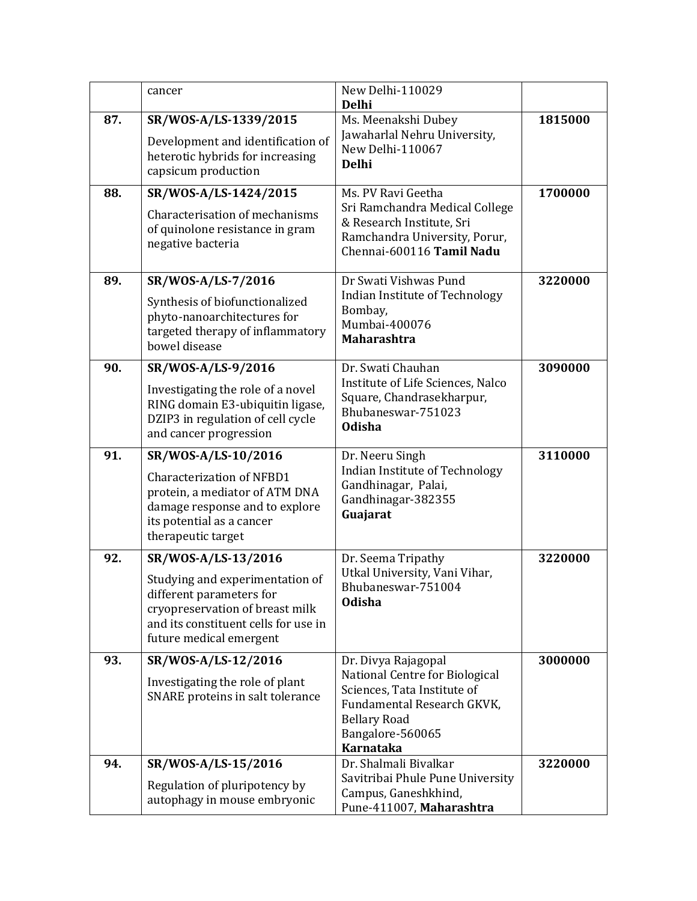|     | cancer                                                                                                                                                                                   | New Delhi-110029<br><b>Delhi</b>                                                                                                                |         |
|-----|------------------------------------------------------------------------------------------------------------------------------------------------------------------------------------------|-------------------------------------------------------------------------------------------------------------------------------------------------|---------|
| 87. | SR/WOS-A/LS-1339/2015<br>Development and identification of<br>heterotic hybrids for increasing<br>capsicum production                                                                    | Ms. Meenakshi Dubey<br>Jawaharlal Nehru University,<br>New Delhi-110067<br><b>Delhi</b>                                                         | 1815000 |
| 88. | SR/WOS-A/LS-1424/2015<br>Characterisation of mechanisms<br>of quinolone resistance in gram<br>negative bacteria                                                                          | Ms. PV Ravi Geetha<br>Sri Ramchandra Medical College<br>& Research Institute, Sri<br>Ramchandra University, Porur,<br>Chennai-600116 Tamil Nadu | 1700000 |
| 89. | SR/WOS-A/LS-7/2016<br>Synthesis of biofunctionalized<br>phyto-nanoarchitectures for<br>targeted therapy of inflammatory<br>bowel disease                                                 | Dr Swati Vishwas Pund<br>Indian Institute of Technology<br>Bombay,<br>Mumbai-400076<br><b>Maharashtra</b>                                       | 3220000 |
| 90. | SR/WOS-A/LS-9/2016<br>Investigating the role of a novel<br>RING domain E3-ubiquitin ligase,<br>DZIP3 in regulation of cell cycle<br>and cancer progression                               | Dr. Swati Chauhan<br>Institute of Life Sciences, Nalco<br>Square, Chandrasekharpur,<br>Bhubaneswar-751023<br><b>Odisha</b>                      | 3090000 |
| 91. | SR/WOS-A/LS-10/2016<br><b>Characterization of NFBD1</b><br>protein, a mediator of ATM DNA<br>damage response and to explore<br>its potential as a cancer<br>therapeutic target           | Dr. Neeru Singh<br>Indian Institute of Technology<br>Gandhinagar, Palai,<br>Gandhinagar-382355<br>Guajarat                                      | 3110000 |
| 92. | SR/WOS-A/LS-13/2016<br>Studying and experimentation of<br>different parameters for<br>cryopreservation of breast milk<br>and its constituent cells for use in<br>future medical emergent | Dr. Seema Tripathy<br>Utkal University, Vani Vihar,<br>Bhubaneswar-751004<br><b>Odisha</b>                                                      | 3220000 |
| 93. | SR/WOS-A/LS-12/2016<br>Investigating the role of plant<br>SNARE proteins in salt tolerance                                                                                               | Dr. Divya Rajagopal<br>National Centre for Biological<br>Sciences, Tata Institute of<br>Fundamental Research GKVK,<br><b>Bellary Road</b>       | 3000000 |
|     |                                                                                                                                                                                          | Bangalore-560065<br><b>Karnataka</b><br>Dr. Shalmali Bivalkar                                                                                   |         |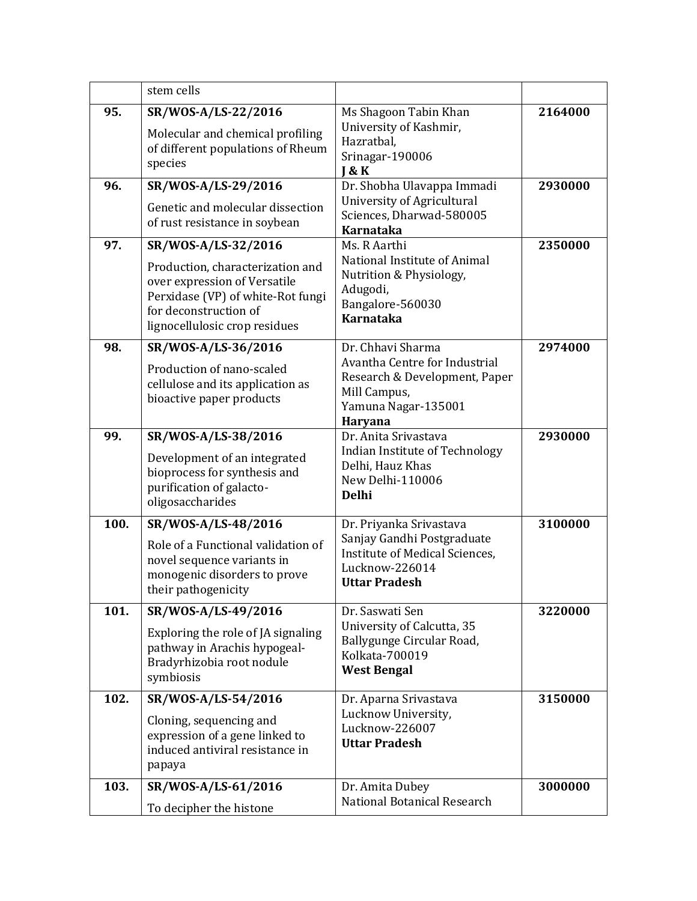|      | stem cells                                                                                                                                                                             |                                                                                                                                              |         |
|------|----------------------------------------------------------------------------------------------------------------------------------------------------------------------------------------|----------------------------------------------------------------------------------------------------------------------------------------------|---------|
| 95.  | SR/WOS-A/LS-22/2016<br>Molecular and chemical profiling<br>of different populations of Rheum<br>species                                                                                | Ms Shagoon Tabin Khan<br>University of Kashmir,<br>Hazratbal,<br>Srinagar-190006<br><b>J &amp; K</b>                                         | 2164000 |
| 96.  | SR/WOS-A/LS-29/2016<br>Genetic and molecular dissection<br>of rust resistance in soybean                                                                                               | Dr. Shobha Ulavappa Immadi<br>University of Agricultural<br>Sciences, Dharwad-580005<br><b>Karnataka</b>                                     | 2930000 |
| 97.  | SR/WOS-A/LS-32/2016<br>Production, characterization and<br>over expression of Versatile<br>Perxidase (VP) of white-Rot fungi<br>for deconstruction of<br>lignocellulosic crop residues | Ms. R Aarthi<br>National Institute of Animal<br>Nutrition & Physiology,<br>Adugodi,<br>Bangalore-560030<br><b>Karnataka</b>                  | 2350000 |
| 98.  | SR/WOS-A/LS-36/2016<br>Production of nano-scaled<br>cellulose and its application as<br>bioactive paper products                                                                       | Dr. Chhavi Sharma<br>Avantha Centre for Industrial<br>Research & Development, Paper<br>Mill Campus,<br>Yamuna Nagar-135001<br><b>Haryana</b> | 2974000 |
| 99.  | SR/WOS-A/LS-38/2016<br>Development of an integrated<br>bioprocess for synthesis and<br>purification of galacto-<br>oligosaccharides                                                    | Dr. Anita Srivastava<br>Indian Institute of Technology<br>Delhi, Hauz Khas<br>New Delhi-110006<br><b>Delhi</b>                               | 2930000 |
| 100. | SR/WOS-A/LS-48/2016<br>Role of a Functional validation of<br>novel sequence variants in<br>monogenic disorders to prove<br>their pathogenicity                                         | Dr. Priyanka Srivastava<br>Sanjay Gandhi Postgraduate<br>Institute of Medical Sciences,<br>Lucknow-226014<br><b>Uttar Pradesh</b>            | 3100000 |
| 101. | SR/WOS-A/LS-49/2016<br>Exploring the role of JA signaling<br>pathway in Arachis hypogeal-<br>Bradyrhizobia root nodule<br>symbiosis                                                    | Dr. Saswati Sen<br>University of Calcutta, 35<br>Ballygunge Circular Road,<br>Kolkata-700019<br><b>West Bengal</b>                           | 3220000 |
| 102. | SR/WOS-A/LS-54/2016<br>Cloning, sequencing and<br>expression of a gene linked to<br>induced antiviral resistance in<br>papaya                                                          | Dr. Aparna Srivastava<br>Lucknow University,<br>Lucknow-226007<br><b>Uttar Pradesh</b>                                                       | 3150000 |
| 103. | SR/WOS-A/LS-61/2016<br>To decipher the histone                                                                                                                                         | Dr. Amita Dubey<br>National Botanical Research                                                                                               | 3000000 |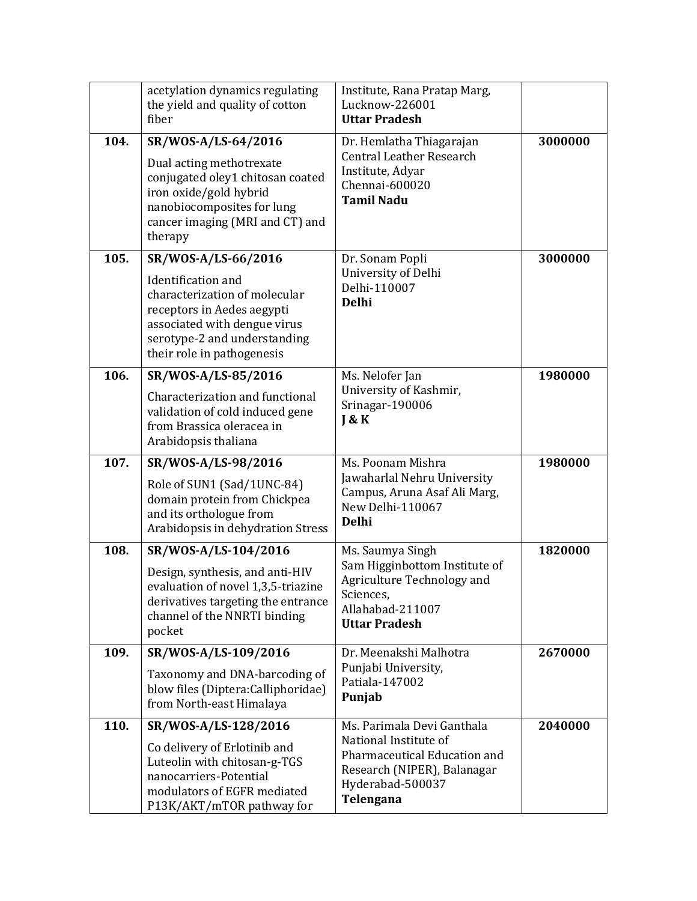|      | acetylation dynamics regulating<br>the yield and quality of cotton<br>fiber                                                                                                                                   | Institute, Rana Pratap Marg,<br>Lucknow-226001<br><b>Uttar Pradesh</b>                                                                              |         |
|------|---------------------------------------------------------------------------------------------------------------------------------------------------------------------------------------------------------------|-----------------------------------------------------------------------------------------------------------------------------------------------------|---------|
| 104. | SR/WOS-A/LS-64/2016<br>Dual acting methotrexate<br>conjugated oley1 chitosan coated<br>iron oxide/gold hybrid<br>nanobiocomposites for lung<br>cancer imaging (MRI and CT) and<br>therapy                     | Dr. Hemlatha Thiagarajan<br><b>Central Leather Research</b><br>Institute, Adyar<br>Chennai-600020<br><b>Tamil Nadu</b>                              | 3000000 |
| 105. | SR/WOS-A/LS-66/2016<br><b>Identification</b> and<br>characterization of molecular<br>receptors in Aedes aegypti<br>associated with dengue virus<br>serotype-2 and understanding<br>their role in pathogenesis | Dr. Sonam Popli<br>University of Delhi<br>Delhi-110007<br><b>Delhi</b>                                                                              | 3000000 |
| 106. | SR/WOS-A/LS-85/2016<br>Characterization and functional<br>validation of cold induced gene<br>from Brassica oleracea in<br>Arabidopsis thaliana                                                                | Ms. Nelofer Jan<br>University of Kashmir,<br>Srinagar-190006<br>J & K                                                                               | 1980000 |
| 107. | SR/WOS-A/LS-98/2016<br>Role of SUN1 (Sad/1UNC-84)<br>domain protein from Chickpea<br>and its orthologue from<br>Arabidopsis in dehydration Stress                                                             | Ms. Poonam Mishra<br>Jawaharlal Nehru University<br>Campus, Aruna Asaf Ali Marg,<br>New Delhi-110067<br><b>Delhi</b>                                | 1980000 |
| 108. | SR/WOS-A/LS-104/2016<br>Design, synthesis, and anti-HIV<br>evaluation of novel 1,3,5-triazine<br>derivatives targeting the entrance<br>channel of the NNRTI binding<br>pocket                                 | Ms. Saumya Singh<br>Sam Higginbottom Institute of<br>Agriculture Technology and<br>Sciences,<br>Allahabad-211007<br><b>Uttar Pradesh</b>            | 1820000 |
| 109. | SR/WOS-A/LS-109/2016<br>Taxonomy and DNA-barcoding of<br>blow files (Diptera: Calliphoridae)<br>from North-east Himalaya                                                                                      | Dr. Meenakshi Malhotra<br>Punjabi University,<br>Patiala-147002<br>Punjab                                                                           | 2670000 |
| 110. | SR/WOS-A/LS-128/2016<br>Co delivery of Erlotinib and<br>Luteolin with chitosan-g-TGS<br>nanocarriers-Potential<br>modulators of EGFR mediated<br>P13K/AKT/mTOR pathway for                                    | Ms. Parimala Devi Ganthala<br>National Institute of<br>Pharmaceutical Education and<br>Research (NIPER), Balanagar<br>Hyderabad-500037<br>Telengana | 2040000 |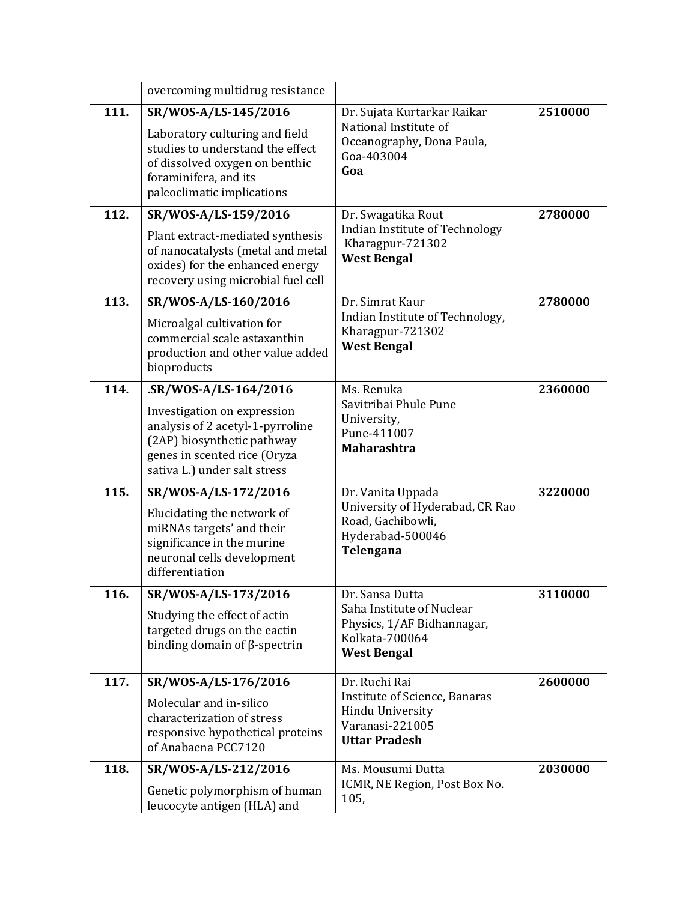|      | overcoming multidrug resistance                                                                                                                                                        |                                                                                                                      |         |
|------|----------------------------------------------------------------------------------------------------------------------------------------------------------------------------------------|----------------------------------------------------------------------------------------------------------------------|---------|
| 111. | SR/WOS-A/LS-145/2016<br>Laboratory culturing and field<br>studies to understand the effect<br>of dissolved oxygen on benthic<br>foraminifera, and its<br>paleoclimatic implications    | Dr. Sujata Kurtarkar Raikar<br>National Institute of<br>Oceanography, Dona Paula,<br>Goa-403004<br>Goa               | 2510000 |
| 112. | SR/WOS-A/LS-159/2016<br>Plant extract-mediated synthesis<br>of nanocatalysts (metal and metal<br>oxides) for the enhanced energy<br>recovery using microbial fuel cell                 | Dr. Swagatika Rout<br>Indian Institute of Technology<br>Kharagpur-721302<br><b>West Bengal</b>                       | 2780000 |
| 113. | SR/WOS-A/LS-160/2016<br>Microalgal cultivation for<br>commercial scale astaxanthin<br>production and other value added<br>bioproducts                                                  | Dr. Simrat Kaur<br>Indian Institute of Technology,<br>Kharagpur-721302<br><b>West Bengal</b>                         | 2780000 |
| 114. | .SR/WOS-A/LS-164/2016<br>Investigation on expression<br>analysis of 2 acetyl-1-pyrroline<br>(2AP) biosynthetic pathway<br>genes in scented rice (Oryza<br>sativa L.) under salt stress | Ms. Renuka<br>Savitribai Phule Pune<br>University,<br>Pune-411007<br><b>Maharashtra</b>                              | 2360000 |
| 115. | SR/WOS-A/LS-172/2016<br>Elucidating the network of<br>miRNAs targets' and their<br>significance in the murine<br>neuronal cells development<br>differentiation                         | Dr. Vanita Uppada<br>University of Hyderabad, CR Rao<br>Road, Gachibowli,<br>Hyderabad-500046<br>Telengana           | 3220000 |
| 116. | SR/WOS-A/LS-173/2016<br>Studying the effect of actin<br>targeted drugs on the eactin<br>binding domain of $\beta$ -spectrin                                                            | Dr. Sansa Dutta<br>Saha Institute of Nuclear<br>Physics, 1/AF Bidhannagar,<br>Kolkata-700064<br><b>West Bengal</b>   | 3110000 |
| 117. | SR/WOS-A/LS-176/2016<br>Molecular and in-silico<br>characterization of stress<br>responsive hypothetical proteins<br>of Anabaena PCC7120                                               | Dr. Ruchi Rai<br><b>Institute of Science, Banaras</b><br>Hindu University<br>Varanasi-221005<br><b>Uttar Pradesh</b> | 2600000 |
| 118. | SR/WOS-A/LS-212/2016<br>Genetic polymorphism of human<br>leucocyte antigen (HLA) and                                                                                                   | Ms. Mousumi Dutta<br>ICMR, NE Region, Post Box No.<br>105,                                                           | 2030000 |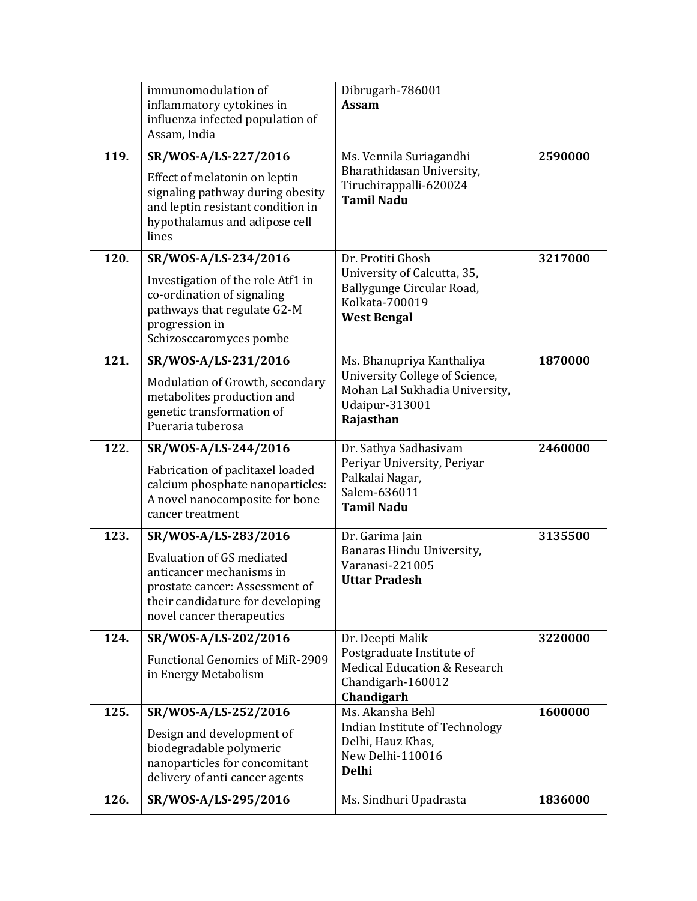| 126. | SR/WOS-A/LS-295/2016                                                                                                                                                                    | Ms. Sindhuri Upadrasta                                                                                                       | 1836000 |
|------|-----------------------------------------------------------------------------------------------------------------------------------------------------------------------------------------|------------------------------------------------------------------------------------------------------------------------------|---------|
| 125. | SR/WOS-A/LS-252/2016<br>Design and development of<br>biodegradable polymeric<br>nanoparticles for concomitant<br>delivery of anti cancer agents                                         | Ms. Akansha Behl<br>Indian Institute of Technology<br>Delhi, Hauz Khas,<br>New Delhi-110016<br><b>Delhi</b>                  | 1600000 |
| 124. | SR/WOS-A/LS-202/2016<br><b>Functional Genomics of MiR-2909</b><br>in Energy Metabolism                                                                                                  | Dr. Deepti Malik<br>Postgraduate Institute of<br><b>Medical Education &amp; Research</b><br>Chandigarh-160012<br>Chandigarh  | 3220000 |
| 123. | SR/WOS-A/LS-283/2016<br><b>Evaluation of GS mediated</b><br>anticancer mechanisms in<br>prostate cancer: Assessment of<br>their candidature for developing<br>novel cancer therapeutics | Dr. Garima Jain<br>Banaras Hindu University,<br>Varanasi-221005<br><b>Uttar Pradesh</b>                                      | 3135500 |
| 122. | SR/WOS-A/LS-244/2016<br>Fabrication of paclitaxel loaded<br>calcium phosphate nanoparticles:<br>A novel nanocomposite for bone<br>cancer treatment                                      | Dr. Sathya Sadhasivam<br>Periyar University, Periyar<br>Palkalai Nagar,<br>Salem-636011<br><b>Tamil Nadu</b>                 | 2460000 |
| 121. | SR/WOS-A/LS-231/2016<br>Modulation of Growth, secondary<br>metabolites production and<br>genetic transformation of<br>Pueraria tuberosa                                                 | Ms. Bhanupriya Kanthaliya<br>University College of Science,<br>Mohan Lal Sukhadia University,<br>Udaipur-313001<br>Rajasthan | 1870000 |
| 120. | SR/WOS-A/LS-234/2016<br>Investigation of the role Atf1 in<br>co-ordination of signaling<br>pathways that regulate G2-M<br>progression in<br>Schizosccaromyces pombe                     | Dr. Protiti Ghosh<br>University of Calcutta, 35,<br>Ballygunge Circular Road,<br>Kolkata-700019<br><b>West Bengal</b>        | 3217000 |
| 119. | SR/WOS-A/LS-227/2016<br>Effect of melatonin on leptin<br>signaling pathway during obesity<br>and leptin resistant condition in<br>hypothalamus and adipose cell<br>lines                | Ms. Vennila Suriagandhi<br>Bharathidasan University,<br>Tiruchirappalli-620024<br><b>Tamil Nadu</b>                          | 2590000 |
|      | immunomodulation of<br>inflammatory cytokines in<br>influenza infected population of<br>Assam, India                                                                                    | Dibrugarh-786001<br>Assam                                                                                                    |         |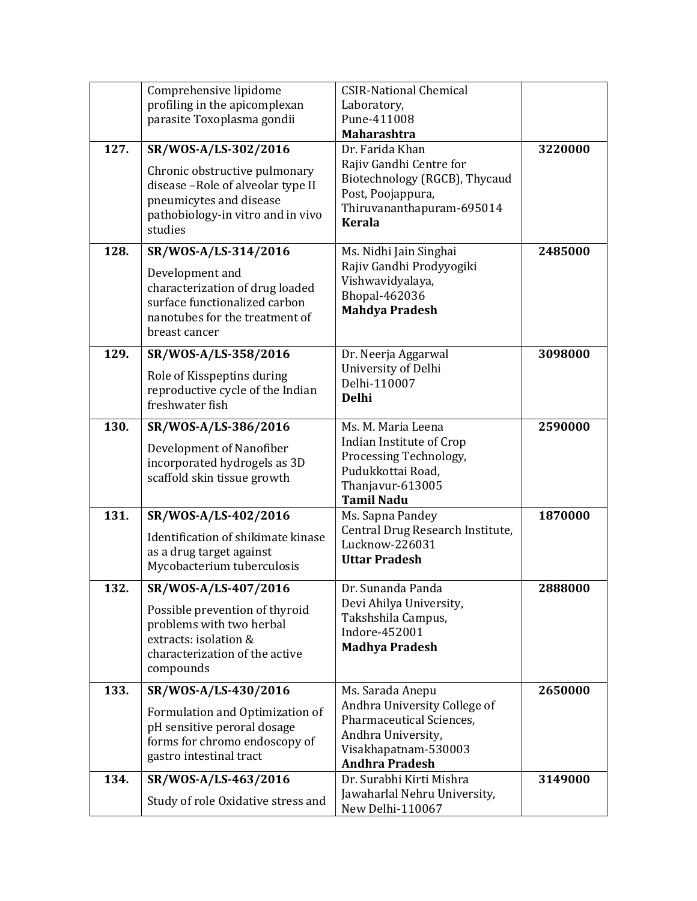|      | Comprehensive lipidome<br>profiling in the apicomplexan                                                                                                               | <b>CSIR-National Chemical</b><br>Laboratory,                                                                                                   |         |
|------|-----------------------------------------------------------------------------------------------------------------------------------------------------------------------|------------------------------------------------------------------------------------------------------------------------------------------------|---------|
|      | parasite Toxoplasma gondii                                                                                                                                            | Pune-411008<br><b>Maharashtra</b>                                                                                                              |         |
| 127. | SR/WOS-A/LS-302/2016<br>Chronic obstructive pulmonary<br>disease -Role of alveolar type II<br>pneumicytes and disease<br>pathobiology-in vitro and in vivo<br>studies | Dr. Farida Khan<br>Rajiv Gandhi Centre for<br>Biotechnology (RGCB), Thycaud<br>Post, Poojappura,<br>Thiruvananthapuram-695014<br><b>Kerala</b> | 3220000 |
| 128. | SR/WOS-A/LS-314/2016                                                                                                                                                  | Ms. Nidhi Jain Singhai                                                                                                                         | 2485000 |
|      | Development and<br>characterization of drug loaded<br>surface functionalized carbon<br>nanotubes for the treatment of<br>breast cancer                                | Rajiv Gandhi Prodyyogiki<br>Vishwavidyalaya,<br>Bhopal-462036<br><b>Mahdya Pradesh</b>                                                         |         |
| 129. | SR/WOS-A/LS-358/2016                                                                                                                                                  | Dr. Neerja Aggarwal                                                                                                                            | 3098000 |
|      | Role of Kisspeptins during<br>reproductive cycle of the Indian<br>freshwater fish                                                                                     | University of Delhi<br>Delhi-110007<br><b>Delhi</b>                                                                                            |         |
| 130. | SR/WOS-A/LS-386/2016                                                                                                                                                  | Ms. M. Maria Leena                                                                                                                             | 2590000 |
|      | Development of Nanofiber<br>incorporated hydrogels as 3D<br>scaffold skin tissue growth                                                                               | Indian Institute of Crop<br>Processing Technology,<br>Pudukkottai Road,<br>Thanjavur-613005<br><b>Tamil Nadu</b>                               |         |
| 131. | SR/WOS-A/LS-402/2016                                                                                                                                                  | Ms. Sapna Pandey                                                                                                                               | 1870000 |
|      | Identification of shikimate kinase<br>as a drug target against<br>Mycobacterium tuberculosis                                                                          | Central Drug Research Institute,<br>Lucknow-226031<br><b>Uttar Pradesh</b>                                                                     |         |
| 132. | SR/WOS-A/LS-407/2016                                                                                                                                                  | Dr. Sunanda Panda                                                                                                                              | 2888000 |
|      | Possible prevention of thyroid<br>problems with two herbal<br>extracts: isolation &<br>characterization of the active<br>compounds                                    | Devi Ahilya University,<br>Takshshila Campus,<br>Indore-452001<br><b>Madhya Pradesh</b>                                                        |         |
| 133. | SR/WOS-A/LS-430/2016                                                                                                                                                  | Ms. Sarada Anepu                                                                                                                               | 2650000 |
|      | Formulation and Optimization of<br>pH sensitive peroral dosage<br>forms for chromo endoscopy of<br>gastro intestinal tract                                            | Andhra University College of<br>Pharmaceutical Sciences,<br>Andhra University,<br>Visakhapatnam-530003<br><b>Andhra Pradesh</b>                |         |
| 134. | SR/WOS-A/LS-463/2016                                                                                                                                                  | Dr. Surabhi Kirti Mishra                                                                                                                       | 3149000 |
|      | Study of role Oxidative stress and                                                                                                                                    | Jawaharlal Nehru University,<br>New Delhi-110067                                                                                               |         |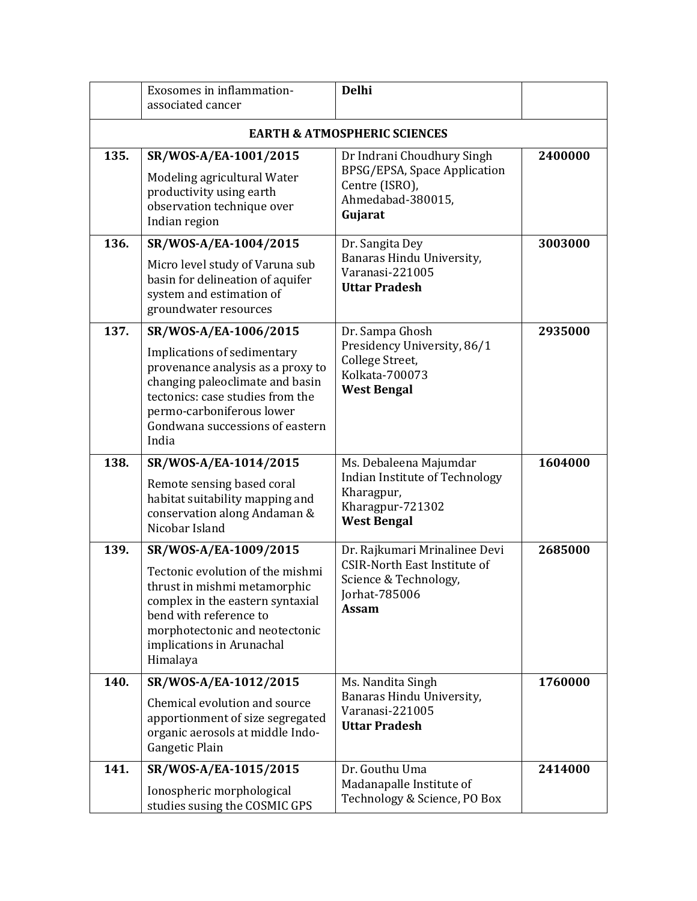|      | Exosomes in inflammation-<br>associated cancer                                                                                                                                                                                            | <b>Delhi</b>                                                                                                                   |         |  |  |
|------|-------------------------------------------------------------------------------------------------------------------------------------------------------------------------------------------------------------------------------------------|--------------------------------------------------------------------------------------------------------------------------------|---------|--|--|
|      | <b>EARTH &amp; ATMOSPHERIC SCIENCES</b>                                                                                                                                                                                                   |                                                                                                                                |         |  |  |
| 135. | SR/WOS-A/EA-1001/2015<br>Modeling agricultural Water<br>productivity using earth<br>observation technique over<br>Indian region                                                                                                           | Dr Indrani Choudhury Singh<br>BPSG/EPSA, Space Application<br>Centre (ISRO),<br>Ahmedabad-380015,<br>Gujarat                   | 2400000 |  |  |
| 136. | SR/WOS-A/EA-1004/2015<br>Micro level study of Varuna sub<br>basin for delineation of aquifer<br>system and estimation of<br>groundwater resources                                                                                         | Dr. Sangita Dey<br>Banaras Hindu University,<br>Varanasi-221005<br><b>Uttar Pradesh</b>                                        | 3003000 |  |  |
| 137. | SR/WOS-A/EA-1006/2015<br>Implications of sedimentary<br>provenance analysis as a proxy to<br>changing paleoclimate and basin<br>tectonics: case studies from the<br>permo-carboniferous lower<br>Gondwana successions of eastern<br>India | Dr. Sampa Ghosh<br>Presidency University, 86/1<br>College Street,<br>Kolkata-700073<br><b>West Bengal</b>                      | 2935000 |  |  |
| 138. | SR/WOS-A/EA-1014/2015<br>Remote sensing based coral<br>habitat suitability mapping and<br>conservation along Andaman &<br>Nicobar Island                                                                                                  | Ms. Debaleena Majumdar<br>Indian Institute of Technology<br>Kharagpur,<br>Kharagpur-721302<br><b>West Bengal</b>               | 1604000 |  |  |
| 139. | SR/WOS-A/EA-1009/2015<br>Tectonic evolution of the mishmi<br>thrust in mishmi metamorphic<br>complex in the eastern syntaxial<br>bend with reference to<br>morphotectonic and neotectonic<br>implications in Arunachal<br>Himalaya        | Dr. Rajkumari Mrinalinee Devi<br><b>CSIR-North East Institute of</b><br>Science & Technology,<br>Jorhat-785006<br><b>Assam</b> | 2685000 |  |  |
| 140. | SR/WOS-A/EA-1012/2015<br>Chemical evolution and source<br>apportionment of size segregated<br>organic aerosols at middle Indo-<br>Gangetic Plain                                                                                          | Ms. Nandita Singh<br>Banaras Hindu University,<br>Varanasi-221005<br><b>Uttar Pradesh</b>                                      | 1760000 |  |  |
| 141. | SR/WOS-A/EA-1015/2015<br>Ionospheric morphological<br>studies susing the COSMIC GPS                                                                                                                                                       | Dr. Gouthu Uma<br>Madanapalle Institute of<br>Technology & Science, PO Box                                                     | 2414000 |  |  |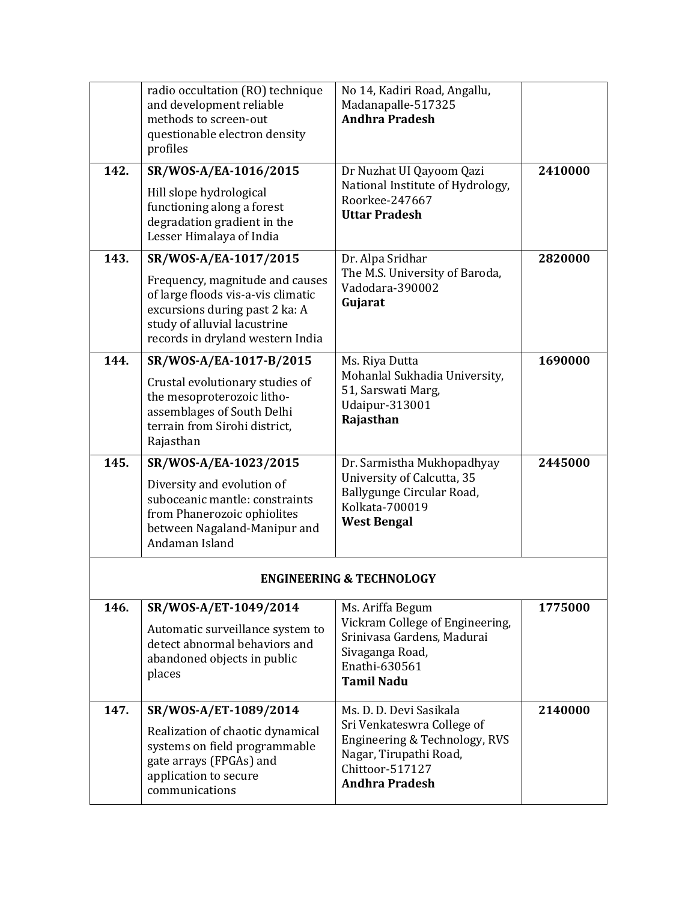|      | radio occultation (RO) technique<br>and development reliable<br>methods to screen-out<br>questionable electron density<br>profiles                                                                   | No 14, Kadiri Road, Angallu,<br>Madanapalle-517325<br><b>Andhra Pradesh</b>                                                                                  |         |
|------|------------------------------------------------------------------------------------------------------------------------------------------------------------------------------------------------------|--------------------------------------------------------------------------------------------------------------------------------------------------------------|---------|
| 142. | SR/WOS-A/EA-1016/2015<br>Hill slope hydrological<br>functioning along a forest<br>degradation gradient in the<br>Lesser Himalaya of India                                                            | Dr Nuzhat UI Qayoom Qazi<br>National Institute of Hydrology,<br>Roorkee-247667<br><b>Uttar Pradesh</b>                                                       | 2410000 |
| 143. | SR/WOS-A/EA-1017/2015<br>Frequency, magnitude and causes<br>of large floods vis-a-vis climatic<br>excursions during past 2 ka: A<br>study of alluvial lacustrine<br>records in dryland western India | Dr. Alpa Sridhar<br>The M.S. University of Baroda,<br>Vadodara-390002<br>Gujarat                                                                             | 2820000 |
| 144. | SR/WOS-A/EA-1017-B/2015<br>Crustal evolutionary studies of<br>the mesoproterozoic litho-<br>assemblages of South Delhi<br>terrain from Sirohi district,<br>Rajasthan                                 | Ms. Riya Dutta<br>Mohanlal Sukhadia University,<br>51, Sarswati Marg,<br>Udaipur-313001<br>Rajasthan                                                         | 1690000 |
| 145. | SR/WOS-A/EA-1023/2015<br>Diversity and evolution of<br>suboceanic mantle: constraints<br>from Phanerozoic ophiolites<br>between Nagaland-Manipur and<br>Andaman Island                               | Dr. Sarmistha Mukhopadhyay<br>University of Calcutta, 35<br>Ballygunge Circular Road,<br>Kolkata-700019<br><b>West Bengal</b>                                | 2445000 |
|      |                                                                                                                                                                                                      | <b>ENGINEERING &amp; TECHNOLOGY</b>                                                                                                                          |         |
| 146. | SR/WOS-A/ET-1049/2014<br>Automatic surveillance system to<br>detect abnormal behaviors and<br>abandoned objects in public<br>places                                                                  | Ms. Ariffa Begum<br>Vickram College of Engineering,<br>Srinivasa Gardens, Madurai<br>Sivaganga Road,<br>Enathi-630561<br><b>Tamil Nadu</b>                   | 1775000 |
| 147. | SR/WOS-A/ET-1089/2014<br>Realization of chaotic dynamical<br>systems on field programmable<br>gate arrays (FPGAs) and<br>application to secure<br>communications                                     | Ms. D. D. Devi Sasikala<br>Sri Venkateswra College of<br>Engineering & Technology, RVS<br>Nagar, Tirupathi Road,<br>Chittoor-517127<br><b>Andhra Pradesh</b> | 2140000 |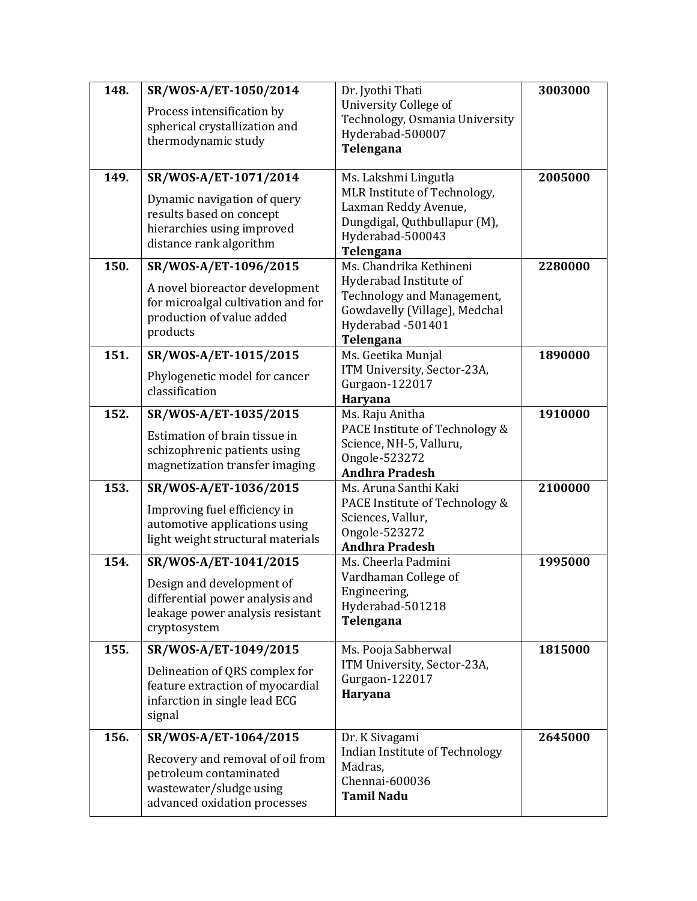| 148. | SR/WOS-A/ET-1050/2014                                         | Dr. Jyothi Thati                                            | 3003000 |
|------|---------------------------------------------------------------|-------------------------------------------------------------|---------|
|      | Process intensification by                                    | <b>University College of</b>                                |         |
|      | spherical crystallization and                                 | Technology, Osmania University<br>Hyderabad-500007          |         |
|      | thermodynamic study                                           | Telengana                                                   |         |
|      |                                                               |                                                             |         |
| 149. | SR/WOS-A/ET-1071/2014                                         | Ms. Lakshmi Lingutla                                        | 2005000 |
|      | Dynamic navigation of query                                   | MLR Institute of Technology,                                |         |
|      | results based on concept                                      | Laxman Reddy Avenue,<br>Dungdigal, Quthbullapur (M),        |         |
|      | hierarchies using improved                                    | Hyderabad-500043                                            |         |
|      | distance rank algorithm                                       | Telengana                                                   |         |
| 150. | SR/WOS-A/ET-1096/2015                                         | Ms. Chandrika Kethineni                                     | 2280000 |
|      | A novel bioreactor development                                | Hyderabad Institute of                                      |         |
|      | for microalgal cultivation and for                            | Technology and Management,<br>Gowdavelly (Village), Medchal |         |
|      | production of value added                                     | Hyderabad -501401                                           |         |
|      | products                                                      | Telengana                                                   |         |
| 151. | SR/WOS-A/ET-1015/2015                                         | Ms. Geetika Munjal                                          | 1890000 |
|      | Phylogenetic model for cancer                                 | ITM University, Sector-23A,                                 |         |
|      | classification                                                | Gurgaon-122017<br>Haryana                                   |         |
| 152. | SR/WOS-A/ET-1035/2015                                         | Ms. Raju Anitha                                             | 1910000 |
|      |                                                               | PACE Institute of Technology &                              |         |
|      | Estimation of brain tissue in<br>schizophrenic patients using | Science, NH-5, Valluru,                                     |         |
|      | magnetization transfer imaging                                | Ongole-523272                                               |         |
|      |                                                               | <b>Andhra Pradesh</b>                                       |         |
| 153. | SR/WOS-A/ET-1036/2015                                         | Ms. Aruna Santhi Kaki<br>PACE Institute of Technology &     | 2100000 |
|      | Improving fuel efficiency in                                  | Sciences, Vallur,                                           |         |
|      | automotive applications using                                 | Ongole-523272                                               |         |
|      | light weight structural materials                             | <b>Andhra Pradesh</b>                                       |         |
| 154. | SR/WOS-A/ET-1041/2015                                         | Ms. Cheerla Padmini                                         | 1995000 |
|      | Design and development of                                     | Vardhaman College of                                        |         |
|      | differential power analysis and                               | Engineering,<br>Hyderabad-501218                            |         |
|      | leakage power analysis resistant                              | Telengana                                                   |         |
|      | cryptosystem                                                  |                                                             |         |
| 155. | SR/WOS-A/ET-1049/2015                                         | Ms. Pooja Sabherwal                                         | 1815000 |
|      | Delineation of QRS complex for                                | ITM University, Sector-23A,<br>Gurgaon-122017               |         |
|      | feature extraction of myocardial                              | Haryana                                                     |         |
|      | infarction in single lead ECG<br>signal                       |                                                             |         |
|      |                                                               |                                                             |         |
| 156. | SR/WOS-A/ET-1064/2015                                         | Dr. K Sivagami<br>Indian Institute of Technology            | 2645000 |
|      | Recovery and removal of oil from                              | Madras,                                                     |         |
|      | petroleum contaminated                                        | Chennai-600036                                              |         |
|      | wastewater/sludge using<br>advanced oxidation processes       | <b>Tamil Nadu</b>                                           |         |
|      |                                                               |                                                             |         |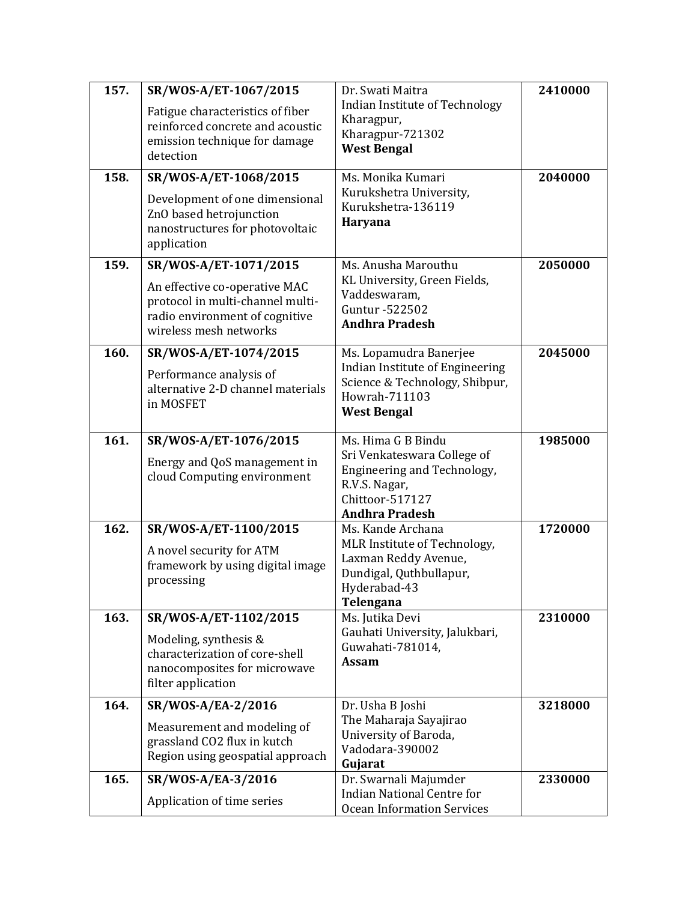| 157. | SR/WOS-A/ET-1067/2015                                                                                                                | Dr. Swati Maitra                                                                                                        | 2410000 |
|------|--------------------------------------------------------------------------------------------------------------------------------------|-------------------------------------------------------------------------------------------------------------------------|---------|
|      | Fatigue characteristics of fiber<br>reinforced concrete and acoustic<br>emission technique for damage                                | Indian Institute of Technology<br>Kharagpur,<br>Kharagpur-721302<br><b>West Bengal</b>                                  |         |
|      | detection                                                                                                                            |                                                                                                                         |         |
| 158. | SR/WOS-A/ET-1068/2015<br>Development of one dimensional<br>ZnO based hetrojunction<br>nanostructures for photovoltaic<br>application | Ms. Monika Kumari<br>Kurukshetra University,<br>Kurukshetra-136119<br><b>Haryana</b>                                    | 2040000 |
| 159. | SR/WOS-A/ET-1071/2015                                                                                                                | Ms. Anusha Marouthu                                                                                                     | 2050000 |
|      | An effective co-operative MAC<br>protocol in multi-channel multi-<br>radio environment of cognitive<br>wireless mesh networks        | KL University, Green Fields,<br>Vaddeswaram,<br>Guntur - 522502<br><b>Andhra Pradesh</b>                                |         |
| 160. | SR/WOS-A/ET-1074/2015                                                                                                                | Ms. Lopamudra Banerjee                                                                                                  | 2045000 |
|      | Performance analysis of<br>alternative 2-D channel materials<br>in MOSFET                                                            | Indian Institute of Engineering<br>Science & Technology, Shibpur,<br>Howrah-711103<br><b>West Bengal</b>                |         |
| 161. | SR/WOS-A/ET-1076/2015                                                                                                                | Ms. Hima G B Bindu                                                                                                      | 1985000 |
|      | Energy and QoS management in<br>cloud Computing environment                                                                          | Sri Venkateswara College of<br>Engineering and Technology,<br>R.V.S. Nagar,<br>Chittoor-517127<br><b>Andhra Pradesh</b> |         |
| 162. | SR/WOS-A/ET-1100/2015                                                                                                                | Ms. Kande Archana                                                                                                       | 1720000 |
|      | A novel security for ATM<br>framework by using digital image<br>processing                                                           | MLR Institute of Technology,<br>Laxman Reddy Avenue,<br>Dundigal, Quthbullapur,<br>Hyderabad-43<br>Telengana            |         |
| 163. | SR/WOS-A/ET-1102/2015                                                                                                                | Ms. Jutika Devi                                                                                                         | 2310000 |
|      | Modeling, synthesis &<br>characterization of core-shell<br>nanocomposites for microwave<br>filter application                        | Gauhati University, Jalukbari,<br>Guwahati-781014,<br><b>Assam</b>                                                      |         |
| 164. | SR/WOS-A/EA-2/2016                                                                                                                   | Dr. Usha B Joshi                                                                                                        | 3218000 |
|      | Measurement and modeling of<br>grassland CO2 flux in kutch<br>Region using geospatial approach                                       | The Maharaja Sayajirao<br>University of Baroda,<br>Vadodara-390002<br>Gujarat                                           |         |
| 165. | SR/WOS-A/EA-3/2016                                                                                                                   | Dr. Swarnali Majumder                                                                                                   | 2330000 |
|      | Application of time series                                                                                                           | <b>Indian National Centre for</b><br><b>Ocean Information Services</b>                                                  |         |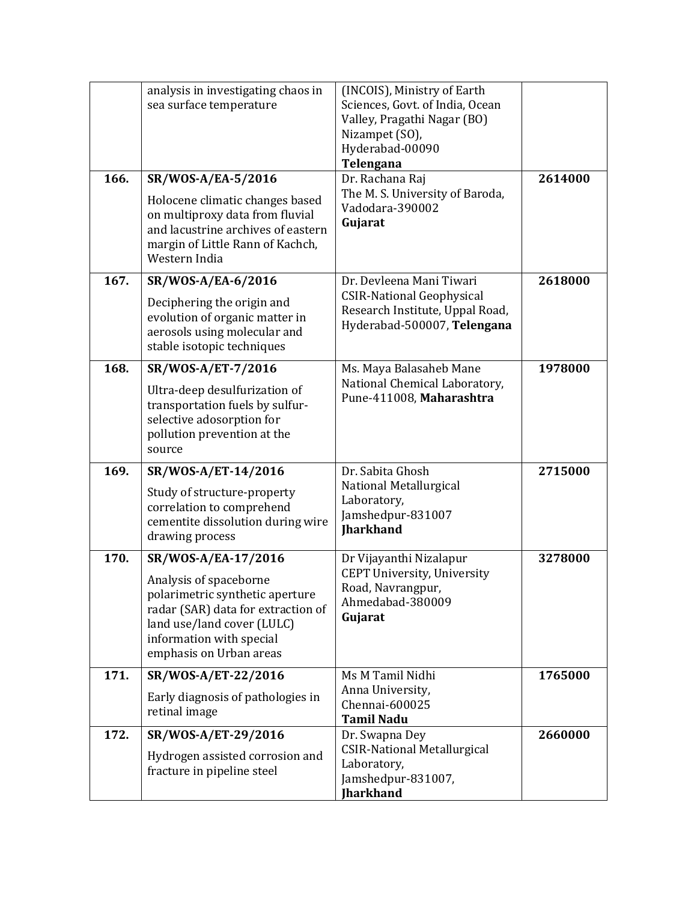| 166. | analysis in investigating chaos in<br>sea surface temperature<br>SR/WOS-A/EA-5/2016<br>Holocene climatic changes based<br>on multiproxy data from fluvial                                                   | (INCOIS), Ministry of Earth<br>Sciences, Govt. of India, Ocean<br>Valley, Pragathi Nagar (BO)<br>Nizampet (SO),<br>Hyderabad-00090<br>Telengana<br>Dr. Rachana Raj<br>The M. S. University of Baroda,<br>Vadodara-390002 | 2614000 |
|------|-------------------------------------------------------------------------------------------------------------------------------------------------------------------------------------------------------------|--------------------------------------------------------------------------------------------------------------------------------------------------------------------------------------------------------------------------|---------|
|      | and lacustrine archives of eastern<br>margin of Little Rann of Kachch,<br>Western India                                                                                                                     | Gujarat                                                                                                                                                                                                                  |         |
| 167. | SR/WOS-A/EA-6/2016<br>Deciphering the origin and<br>evolution of organic matter in<br>aerosols using molecular and<br>stable isotopic techniques                                                            | Dr. Devleena Mani Tiwari<br><b>CSIR-National Geophysical</b><br>Research Institute, Uppal Road,<br>Hyderabad-500007, Telengana                                                                                           | 2618000 |
| 168. | SR/WOS-A/ET-7/2016<br>Ultra-deep desulfurization of<br>transportation fuels by sulfur-<br>selective adosorption for<br>pollution prevention at the<br>source                                                | Ms. Maya Balasaheb Mane<br>National Chemical Laboratory,<br>Pune-411008, Maharashtra                                                                                                                                     | 1978000 |
| 169. | SR/WOS-A/ET-14/2016<br>Study of structure-property<br>correlation to comprehend<br>cementite dissolution during wire<br>drawing process                                                                     | Dr. Sabita Ghosh<br>National Metallurgical<br>Laboratory,<br>Jamshedpur-831007<br><b>Jharkhand</b>                                                                                                                       | 2715000 |
| 170. | SR/WOS-A/EA-17/2016<br>Analysis of spaceborne<br>polarimetric synthetic aperture<br>radar (SAR) data for extraction of<br>land use/land cover (LULC)<br>information with special<br>emphasis on Urban areas | Dr Vijayanthi Nizalapur<br><b>CEPT University, University</b><br>Road, Navrangpur,<br>Ahmedabad-380009<br>Gujarat                                                                                                        | 3278000 |
| 171. | SR/WOS-A/ET-22/2016<br>Early diagnosis of pathologies in<br>retinal image                                                                                                                                   | Ms M Tamil Nidhi<br>Anna University,<br>Chennai-600025<br><b>Tamil Nadu</b>                                                                                                                                              | 1765000 |
| 172. | SR/WOS-A/ET-29/2016<br>Hydrogen assisted corrosion and<br>fracture in pipeline steel                                                                                                                        | Dr. Swapna Dey<br><b>CSIR-National Metallurgical</b><br>Laboratory,<br>Jamshedpur-831007,<br><b>Jharkhand</b>                                                                                                            | 2660000 |